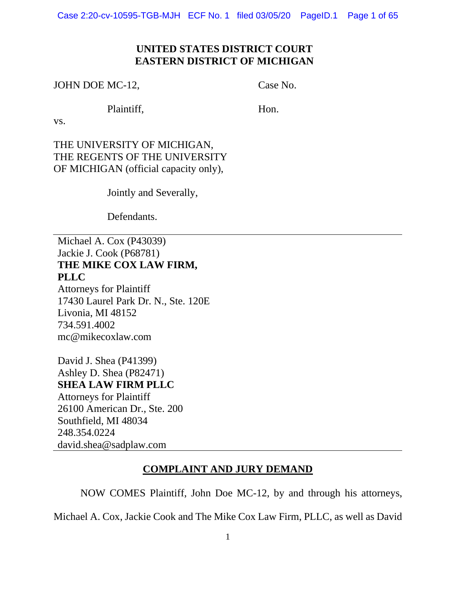Case 2:20-cv-10595-TGB-MJH ECF No. 1 filed 03/05/20 PageID.1 Page 1 of 65

## **UNITED STATES DISTRICT COURT EASTERN DISTRICT OF MICHIGAN**

JOHN DOE MC-12,

Case No.

Plaintiff,

Hon.

vs.

THE UNIVERSITY OF MICHIGAN, THE REGENTS OF THE UNIVERSITY OF MICHIGAN (official capacity only),

Jointly and Severally,

Defendants.

Michael A. Cox (P43039) Jackie J. Cook (P68781) **THE MIKE COX LAW FIRM, PLLC** Attorneys for Plaintiff 17430 Laurel Park Dr. N., Ste. 120E Livonia, MI 48152

734.591.4002 mc@mikecoxlaw.com

David J. Shea (P41399) Ashley D. Shea (P82471) **SHEA LAW FIRM PLLC** Attorneys for Plaintiff 26100 American Dr., Ste. 200 Southfield, MI 48034 248.354.0224 david.shea@sadplaw.com

## **COMPLAINT AND JURY DEMAND**

NOW COMES Plaintiff, John Doe MC-12, by and through his attorneys,

Michael A. Cox, Jackie Cook and The Mike Cox Law Firm, PLLC, as well as David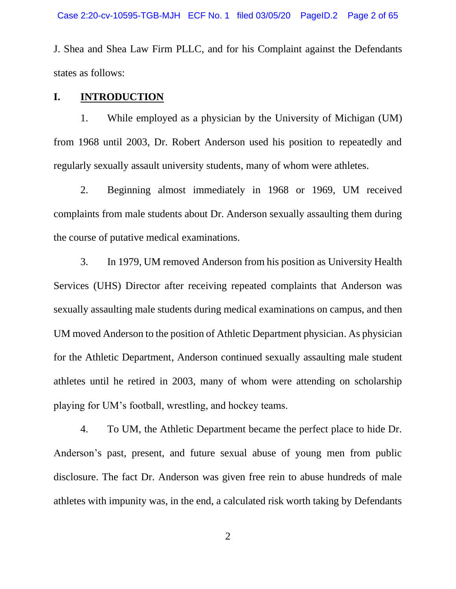J. Shea and Shea Law Firm PLLC, and for his Complaint against the Defendants states as follows:

#### **I. INTRODUCTION**

1. While employed as a physician by the University of Michigan (UM) from 1968 until 2003, Dr. Robert Anderson used his position to repeatedly and regularly sexually assault university students, many of whom were athletes.

2. Beginning almost immediately in 1968 or 1969, UM received complaints from male students about Dr. Anderson sexually assaulting them during the course of putative medical examinations.

3. In 1979, UM removed Anderson from his position as University Health Services (UHS) Director after receiving repeated complaints that Anderson was sexually assaulting male students during medical examinations on campus, and then UM moved Anderson to the position of Athletic Department physician. As physician for the Athletic Department, Anderson continued sexually assaulting male student athletes until he retired in 2003, many of whom were attending on scholarship playing for UM's football, wrestling, and hockey teams.

4. To UM, the Athletic Department became the perfect place to hide Dr. Anderson's past, present, and future sexual abuse of young men from public disclosure. The fact Dr. Anderson was given free rein to abuse hundreds of male athletes with impunity was, in the end, a calculated risk worth taking by Defendants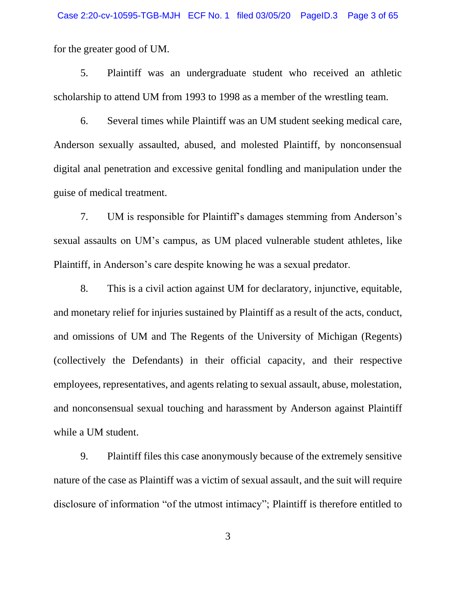for the greater good of UM.

5. Plaintiff was an undergraduate student who received an athletic scholarship to attend UM from 1993 to 1998 as a member of the wrestling team.

6. Several times while Plaintiff was an UM student seeking medical care, Anderson sexually assaulted, abused, and molested Plaintiff, by nonconsensual digital anal penetration and excessive genital fondling and manipulation under the guise of medical treatment.

7. UM is responsible for Plaintiff's damages stemming from Anderson's sexual assaults on UM's campus, as UM placed vulnerable student athletes, like Plaintiff, in Anderson's care despite knowing he was a sexual predator.

8. This is a civil action against UM for declaratory, injunctive, equitable, and monetary relief for injuries sustained by Plaintiff as a result of the acts, conduct, and omissions of UM and The Regents of the University of Michigan (Regents) (collectively the Defendants) in their official capacity, and their respective employees, representatives, and agents relating to sexual assault, abuse, molestation, and nonconsensual sexual touching and harassment by Anderson against Plaintiff while a UM student.

9. Plaintiff files this case anonymously because of the extremely sensitive nature of the case as Plaintiff was a victim of sexual assault, and the suit will require disclosure of information "of the utmost intimacy"; Plaintiff is therefore entitled to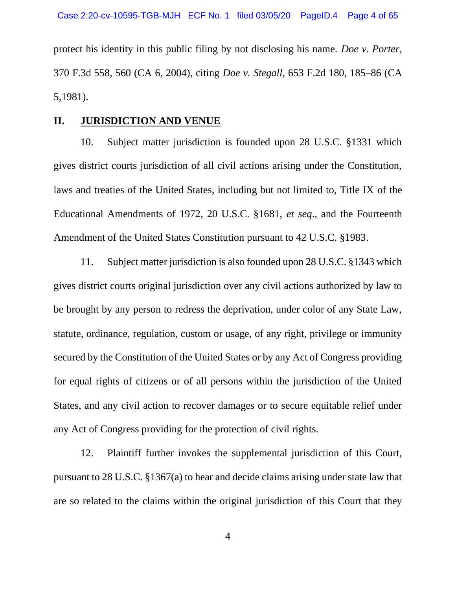protect his identity in this public filing by not disclosing his name. *Doe v. Porter*, 370 F.3d 558, 560 (CA 6, 2004), citing *Doe v. Stegall,* 653 F.2d 180, 185–86 (CA 5,1981).

#### **II. JURISDICTION AND VENUE**

10. Subject matter jurisdiction is founded upon 28 U.S.C. §1331 which gives district courts jurisdiction of all civil actions arising under the Constitution, laws and treaties of the United States, including but not limited to, Title IX of the Educational Amendments of 1972, 20 U.S.C. §1681, *et seq*., and the Fourteenth Amendment of the United States Constitution pursuant to 42 U.S.C. §1983.

11. Subject matter jurisdiction is also founded upon 28 U.S.C. §1343 which gives district courts original jurisdiction over any civil actions authorized by law to be brought by any person to redress the deprivation, under color of any State Law, statute, ordinance, regulation, custom or usage, of any right, privilege or immunity secured by the Constitution of the United States or by any Act of Congress providing for equal rights of citizens or of all persons within the jurisdiction of the United States, and any civil action to recover damages or to secure equitable relief under any Act of Congress providing for the protection of civil rights.

12. Plaintiff further invokes the supplemental jurisdiction of this Court, pursuant to 28 U.S.C. §1367(a) to hear and decide claims arising under state law that are so related to the claims within the original jurisdiction of this Court that they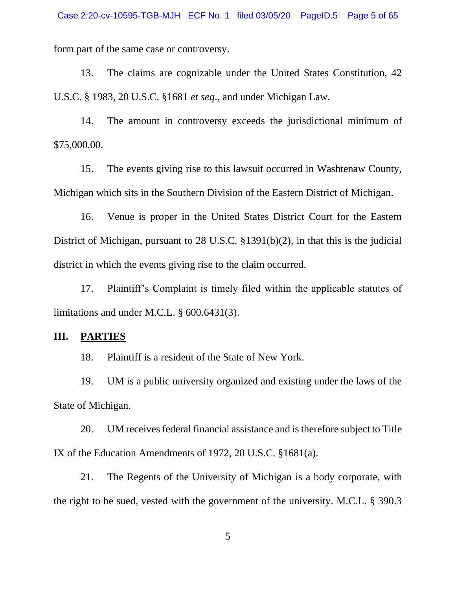form part of the same case or controversy.

13. The claims are cognizable under the United States Constitution, 42 U.S.C. § 1983, 20 U.S.C. §1681 *et seq*., and under Michigan Law.

14. The amount in controversy exceeds the jurisdictional minimum of \$75,000.00.

15. The events giving rise to this lawsuit occurred in Washtenaw County, Michigan which sits in the Southern Division of the Eastern District of Michigan.

16. Venue is proper in the United States District Court for the Eastern District of Michigan, pursuant to 28 U.S.C. §1391(b)(2), in that this is the judicial district in which the events giving rise to the claim occurred.

17. Plaintiff's Complaint is timely filed within the applicable statutes of limitations and under M.C.L. § 600.6431(3).

#### **III. PARTIES**

18. Plaintiff is a resident of the State of New York.

19. UM is a public university organized and existing under the laws of the State of Michigan.

20. UM receives federal financial assistance and is therefore subject to Title IX of the Education Amendments of 1972, 20 U.S.C. §1681(a).

21. The Regents of the University of Michigan is a body corporate, with the right to be sued, vested with the government of the university. M.C.L. § 390.3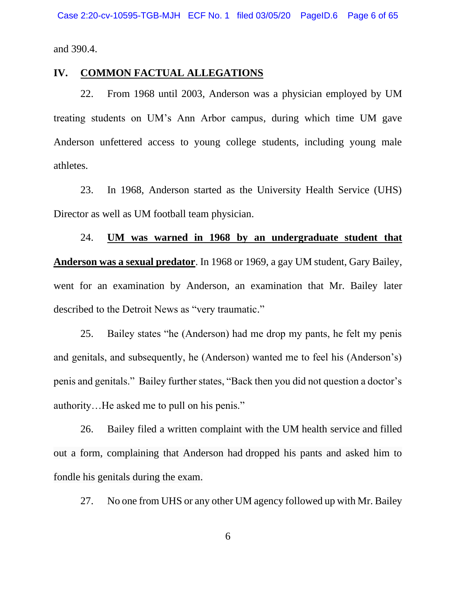and 390.4.

#### **IV. COMMON FACTUAL ALLEGATIONS**

22. From 1968 until 2003, Anderson was a physician employed by UM treating students on UM's Ann Arbor campus, during which time UM gave Anderson unfettered access to young college students, including young male athletes.

23. In 1968, Anderson started as the University Health Service (UHS) Director as well as UM football team physician.

24. **UM was warned in 1968 by an undergraduate student that Anderson was a sexual predator**. In 1968 or 1969, a gay UM student, Gary Bailey, went for an examination by Anderson, an examination that Mr. Bailey later described to the Detroit News as "very traumatic."

25. Bailey states "he (Anderson) had me drop my pants, he felt my penis and genitals, and subsequently, he (Anderson) wanted me to feel his (Anderson's) penis and genitals." Bailey further states, "Back then you did not question a doctor's authority…He asked me to pull on his penis."

26. Bailey filed a written complaint with the UM health service and filled out a form, complaining that Anderson had dropped his pants and asked him to fondle his genitals during the exam.

27. No one from UHS or any other UM agency followed up with Mr. Bailey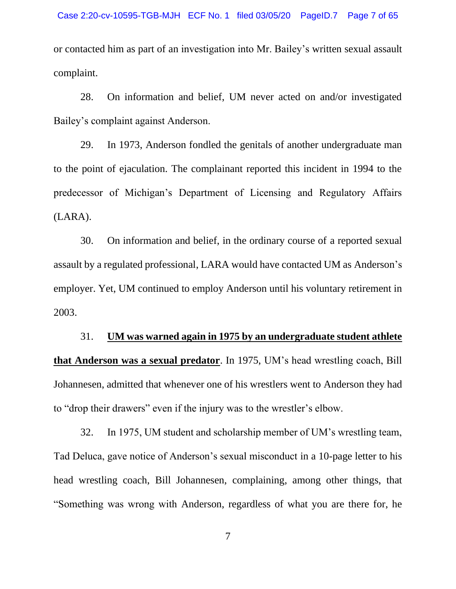or contacted him as part of an investigation into Mr. Bailey's written sexual assault complaint.

28. On information and belief, UM never acted on and/or investigated Bailey's complaint against Anderson.

29. In 1973, Anderson fondled the genitals of another undergraduate man to the point of ejaculation. The complainant reported this incident in 1994 to the predecessor of Michigan's Department of Licensing and Regulatory Affairs (LARA).

30. On information and belief, in the ordinary course of a reported sexual assault by a regulated professional, LARA would have contacted UM as Anderson's employer. Yet, UM continued to employ Anderson until his voluntary retirement in 2003.

31. **UM was warned again in 1975 by an undergraduate student athlete that Anderson was a sexual predator**. In 1975, UM's head wrestling coach, Bill Johannesen, admitted that whenever one of his wrestlers went to Anderson they had to "drop their drawers" even if the injury was to the wrestler's elbow.

32. In 1975, UM student and scholarship member of UM's wrestling team, Tad Deluca, gave notice of Anderson's sexual misconduct in a 10-page letter to his head wrestling coach, Bill Johannesen, complaining, among other things, that "Something was wrong with Anderson, regardless of what you are there for, he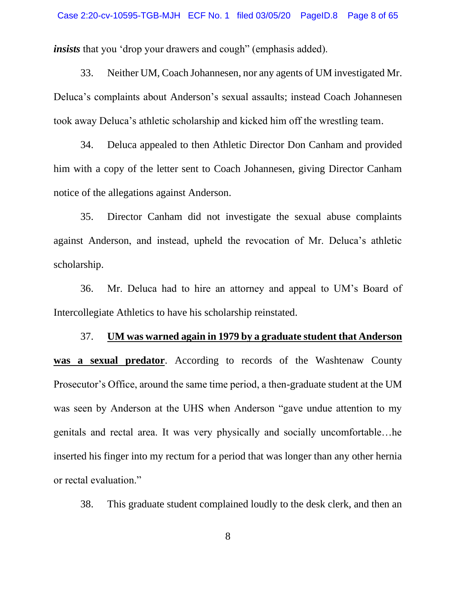*insists* that you 'drop your drawers and cough'' (emphasis added).

33. Neither UM, Coach Johannesen, nor any agents of UM investigated Mr. Deluca's complaints about Anderson's sexual assaults; instead Coach Johannesen took away Deluca's athletic scholarship and kicked him off the wrestling team.

34. Deluca appealed to then Athletic Director Don Canham and provided him with a copy of the letter sent to Coach Johannesen, giving Director Canham notice of the allegations against Anderson.

35. Director Canham did not investigate the sexual abuse complaints against Anderson, and instead, upheld the revocation of Mr. Deluca's athletic scholarship.

36. Mr. Deluca had to hire an attorney and appeal to UM's Board of Intercollegiate Athletics to have his scholarship reinstated.

37. **UM was warned again in 1979 by a graduate student that Anderson was a sexual predator**. According to records of the Washtenaw County Prosecutor's Office, around the same time period, a then-graduate student at the UM was seen by Anderson at the UHS when Anderson "gave undue attention to my genitals and rectal area. It was very physically and socially uncomfortable…he inserted his finger into my rectum for a period that was longer than any other hernia or rectal evaluation."

38. This graduate student complained loudly to the desk clerk, and then an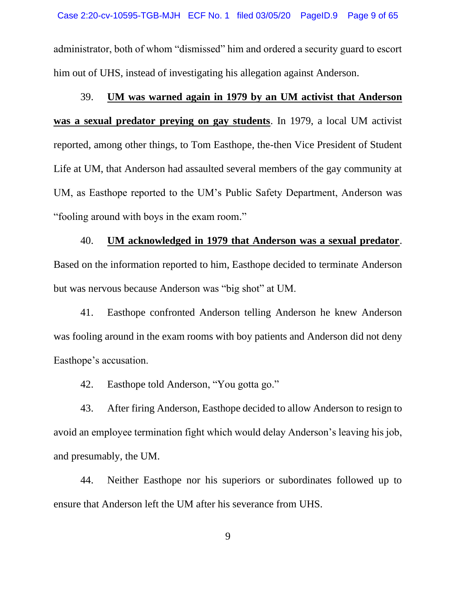administrator, both of whom "dismissed" him and ordered a security guard to escort him out of UHS, instead of investigating his allegation against Anderson.

## 39. **UM was warned again in 1979 by an UM activist that Anderson**

**was a sexual predator preying on gay students**. In 1979, a local UM activist reported, among other things, to Tom Easthope, the-then Vice President of Student Life at UM, that Anderson had assaulted several members of the gay community at UM, as Easthope reported to the UM's Public Safety Department, Anderson was "fooling around with boys in the exam room."

# 40. **UM acknowledged in 1979 that Anderson was a sexual predator**. Based on the information reported to him, Easthope decided to terminate Anderson but was nervous because Anderson was "big shot" at UM.

41. Easthope confronted Anderson telling Anderson he knew Anderson was fooling around in the exam rooms with boy patients and Anderson did not deny Easthope's accusation.

42. Easthope told Anderson, "You gotta go."

43. After firing Anderson, Easthope decided to allow Anderson to resign to avoid an employee termination fight which would delay Anderson's leaving his job, and presumably, the UM.

44. Neither Easthope nor his superiors or subordinates followed up to ensure that Anderson left the UM after his severance from UHS.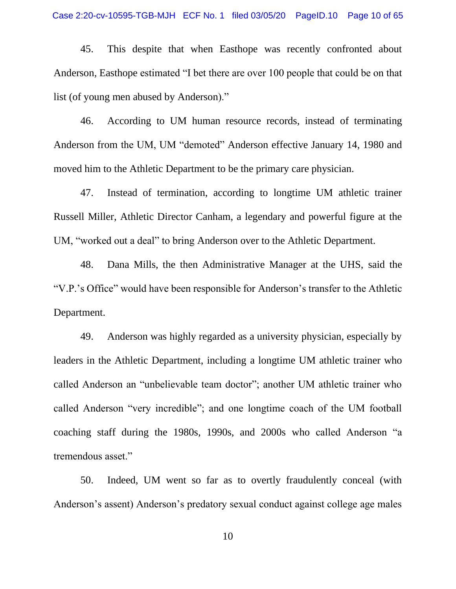45. This despite that when Easthope was recently confronted about Anderson, Easthope estimated "I bet there are over 100 people that could be on that list (of young men abused by Anderson)."

46. According to UM human resource records, instead of terminating Anderson from the UM, UM "demoted" Anderson effective January 14, 1980 and moved him to the Athletic Department to be the primary care physician.

47. Instead of termination, according to longtime UM athletic trainer Russell Miller, Athletic Director Canham, a legendary and powerful figure at the UM, "worked out a deal" to bring Anderson over to the Athletic Department.

48. Dana Mills, the then Administrative Manager at the UHS, said the "V.P.'s Office" would have been responsible for Anderson's transfer to the Athletic Department.

49. Anderson was highly regarded as a university physician, especially by leaders in the Athletic Department, including a longtime UM athletic trainer who called Anderson an "unbelievable team doctor"; another UM athletic trainer who called Anderson "very incredible"; and one longtime coach of the UM football coaching staff during the 1980s, 1990s, and 2000s who called Anderson "a tremendous asset."

50. Indeed, UM went so far as to overtly fraudulently conceal (with Anderson's assent) Anderson's predatory sexual conduct against college age males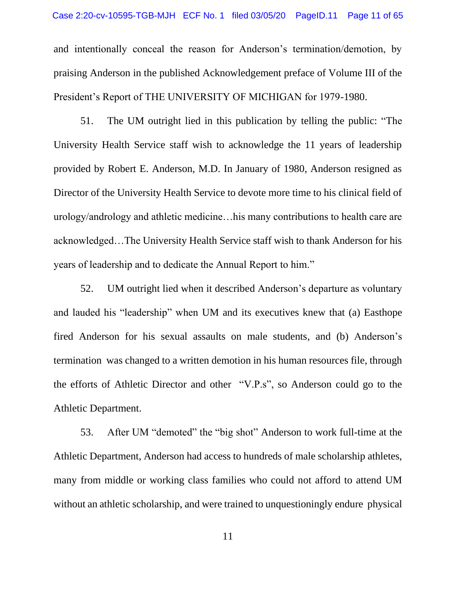and intentionally conceal the reason for Anderson's termination/demotion, by praising Anderson in the published Acknowledgement preface of Volume III of the President's Report of THE UNIVERSITY OF MICHIGAN for 1979-1980.

51. The UM outright lied in this publication by telling the public: "The University Health Service staff wish to acknowledge the 11 years of leadership provided by Robert E. Anderson, M.D. In January of 1980, Anderson resigned as Director of the University Health Service to devote more time to his clinical field of urology/andrology and athletic medicine…his many contributions to health care are acknowledged…The University Health Service staff wish to thank Anderson for his years of leadership and to dedicate the Annual Report to him."

52. UM outright lied when it described Anderson's departure as voluntary and lauded his "leadership" when UM and its executives knew that (a) Easthope fired Anderson for his sexual assaults on male students, and (b) Anderson's termination was changed to a written demotion in his human resources file, through the efforts of Athletic Director and other "V.P.s", so Anderson could go to the Athletic Department.

53. After UM "demoted" the "big shot" Anderson to work full-time at the Athletic Department, Anderson had access to hundreds of male scholarship athletes, many from middle or working class families who could not afford to attend UM without an athletic scholarship, and were trained to unquestioningly endure physical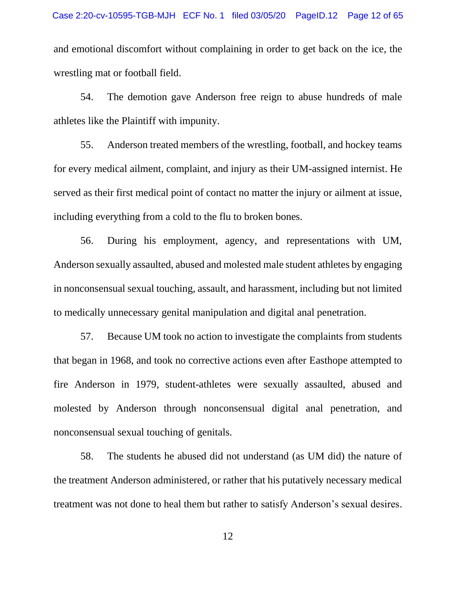and emotional discomfort without complaining in order to get back on the ice, the wrestling mat or football field.

54. The demotion gave Anderson free reign to abuse hundreds of male athletes like the Plaintiff with impunity.

55. Anderson treated members of the wrestling, football, and hockey teams for every medical ailment, complaint, and injury as their UM-assigned internist. He served as their first medical point of contact no matter the injury or ailment at issue, including everything from a cold to the flu to broken bones.

56. During his employment, agency, and representations with UM, Anderson sexually assaulted, abused and molested male student athletes by engaging in nonconsensual sexual touching, assault, and harassment, including but not limited to medically unnecessary genital manipulation and digital anal penetration.

57. Because UM took no action to investigate the complaints from students that began in 1968, and took no corrective actions even after Easthope attempted to fire Anderson in 1979, student-athletes were sexually assaulted, abused and molested by Anderson through nonconsensual digital anal penetration, and nonconsensual sexual touching of genitals.

58. The students he abused did not understand (as UM did) the nature of the treatment Anderson administered, or rather that his putatively necessary medical treatment was not done to heal them but rather to satisfy Anderson's sexual desires.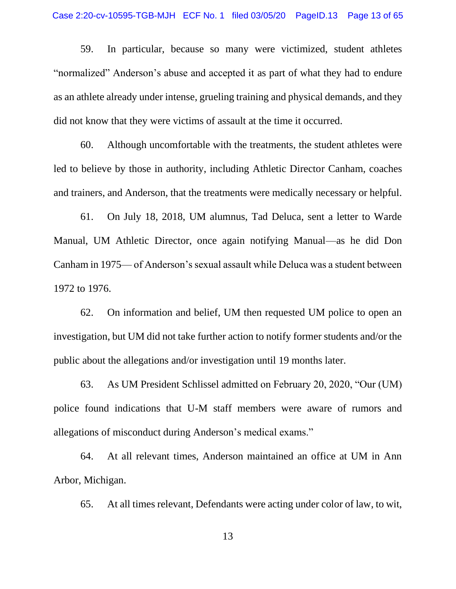59. In particular, because so many were victimized, student athletes "normalized" Anderson's abuse and accepted it as part of what they had to endure as an athlete already under intense, grueling training and physical demands, and they did not know that they were victims of assault at the time it occurred.

60. Although uncomfortable with the treatments, the student athletes were led to believe by those in authority, including Athletic Director Canham, coaches and trainers, and Anderson, that the treatments were medically necessary or helpful.

61. On July 18, 2018, UM alumnus, Tad Deluca, sent a letter to Warde Manual, UM Athletic Director, once again notifying Manual—as he did Don Canham in 1975— of Anderson's sexual assault while Deluca was a student between 1972 to 1976.

62. On information and belief, UM then requested UM police to open an investigation, but UM did not take further action to notify former students and/or the public about the allegations and/or investigation until 19 months later.

63. As UM President Schlissel admitted on February 20, 2020, "Our (UM) police found indications that U-M staff members were aware of rumors and allegations of misconduct during Anderson's medical exams."

64. At all relevant times, Anderson maintained an office at UM in Ann Arbor, Michigan.

65. At all times relevant, Defendants were acting under color of law, to wit,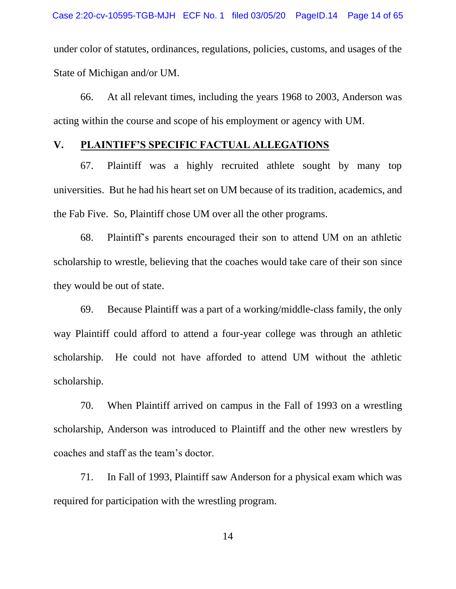under color of statutes, ordinances, regulations, policies, customs, and usages of the State of Michigan and/or UM.

66. At all relevant times, including the years 1968 to 2003, Anderson was acting within the course and scope of his employment or agency with UM.

#### **V. PLAINTIFF'S SPECIFIC FACTUAL ALLEGATIONS**

67. Plaintiff was a highly recruited athlete sought by many top universities. But he had his heart set on UM because of its tradition, academics, and the Fab Five. So, Plaintiff chose UM over all the other programs.

68. Plaintiff's parents encouraged their son to attend UM on an athletic scholarship to wrestle, believing that the coaches would take care of their son since they would be out of state.

69. Because Plaintiff was a part of a working/middle-class family, the only way Plaintiff could afford to attend a four-year college was through an athletic scholarship. He could not have afforded to attend UM without the athletic scholarship.

70. When Plaintiff arrived on campus in the Fall of 1993 on a wrestling scholarship, Anderson was introduced to Plaintiff and the other new wrestlers by coaches and staff as the team's doctor.

71. In Fall of 1993, Plaintiff saw Anderson for a physical exam which was required for participation with the wrestling program.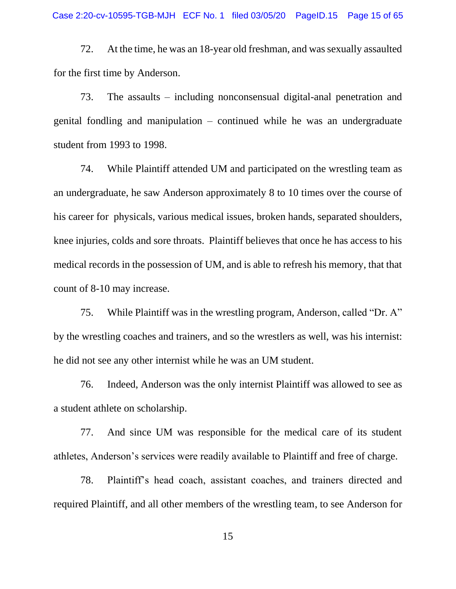72. At the time, he was an 18-year old freshman, and was sexually assaulted for the first time by Anderson.

73. The assaults – including nonconsensual digital-anal penetration and genital fondling and manipulation – continued while he was an undergraduate student from 1993 to 1998.

74. While Plaintiff attended UM and participated on the wrestling team as an undergraduate, he saw Anderson approximately 8 to 10 times over the course of his career for physicals, various medical issues, broken hands, separated shoulders, knee injuries, colds and sore throats. Plaintiff believes that once he has access to his medical records in the possession of UM, and is able to refresh his memory, that that count of 8-10 may increase.

75. While Plaintiff was in the wrestling program, Anderson, called "Dr. A" by the wrestling coaches and trainers, and so the wrestlers as well, was his internist: he did not see any other internist while he was an UM student.

76. Indeed, Anderson was the only internist Plaintiff was allowed to see as a student athlete on scholarship.

77. And since UM was responsible for the medical care of its student athletes, Anderson's services were readily available to Plaintiff and free of charge.

78. Plaintiff's head coach, assistant coaches, and trainers directed and required Plaintiff, and all other members of the wrestling team, to see Anderson for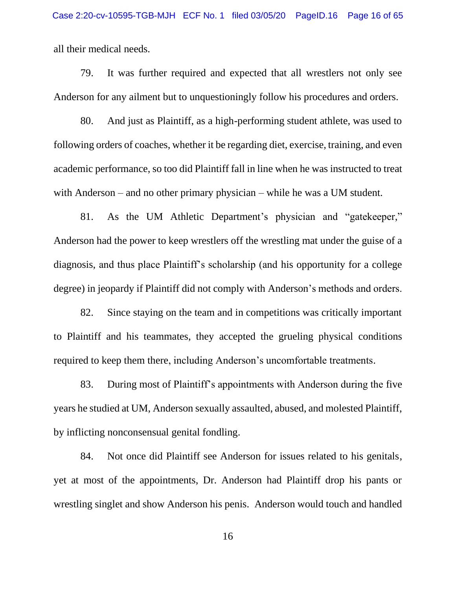all their medical needs.

79. It was further required and expected that all wrestlers not only see Anderson for any ailment but to unquestioningly follow his procedures and orders.

80. And just as Plaintiff, as a high-performing student athlete, was used to following orders of coaches, whether it be regarding diet, exercise, training, and even academic performance, so too did Plaintiff fall in line when he was instructed to treat with Anderson – and no other primary physician – while he was a UM student.

81. As the UM Athletic Department's physician and "gatekeeper," Anderson had the power to keep wrestlers off the wrestling mat under the guise of a diagnosis, and thus place Plaintiff's scholarship (and his opportunity for a college degree) in jeopardy if Plaintiff did not comply with Anderson's methods and orders.

82. Since staying on the team and in competitions was critically important to Plaintiff and his teammates, they accepted the grueling physical conditions required to keep them there, including Anderson's uncomfortable treatments.

83. During most of Plaintiff's appointments with Anderson during the five years he studied at UM, Anderson sexually assaulted, abused, and molested Plaintiff, by inflicting nonconsensual genital fondling.

84. Not once did Plaintiff see Anderson for issues related to his genitals, yet at most of the appointments, Dr. Anderson had Plaintiff drop his pants or wrestling singlet and show Anderson his penis. Anderson would touch and handled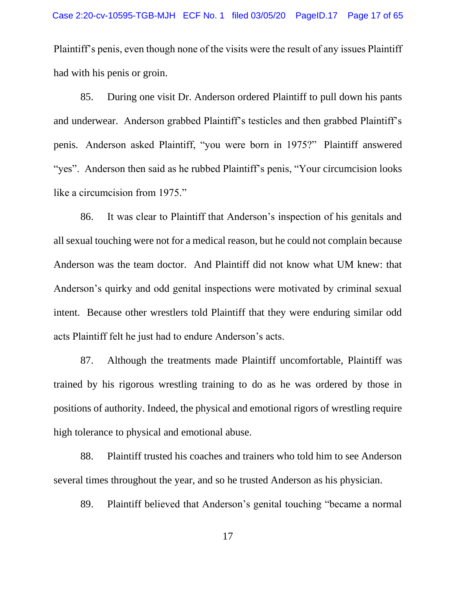Plaintiff's penis, even though none of the visits were the result of any issues Plaintiff had with his penis or groin.

85. During one visit Dr. Anderson ordered Plaintiff to pull down his pants and underwear. Anderson grabbed Plaintiff's testicles and then grabbed Plaintiff's penis. Anderson asked Plaintiff, "you were born in 1975?" Plaintiff answered "yes". Anderson then said as he rubbed Plaintiff's penis, "Your circumcision looks like a circumcision from 1975."

86. It was clear to Plaintiff that Anderson's inspection of his genitals and all sexual touching were not for a medical reason, but he could not complain because Anderson was the team doctor. And Plaintiff did not know what UM knew: that Anderson's quirky and odd genital inspections were motivated by criminal sexual intent. Because other wrestlers told Plaintiff that they were enduring similar odd acts Plaintiff felt he just had to endure Anderson's acts.

87. Although the treatments made Plaintiff uncomfortable, Plaintiff was trained by his rigorous wrestling training to do as he was ordered by those in positions of authority. Indeed, the physical and emotional rigors of wrestling require high tolerance to physical and emotional abuse.

88. Plaintiff trusted his coaches and trainers who told him to see Anderson several times throughout the year, and so he trusted Anderson as his physician.

89. Plaintiff believed that Anderson's genital touching "became a normal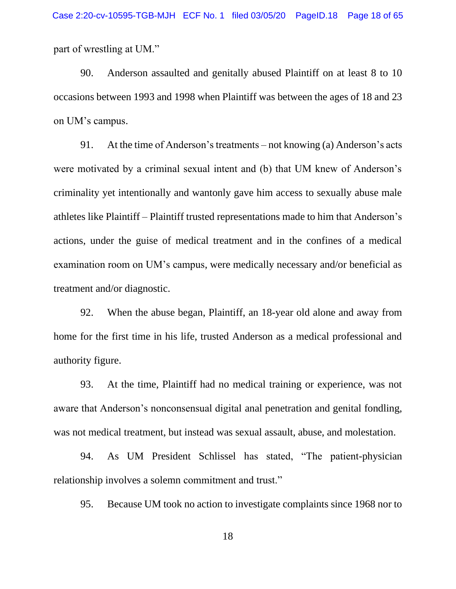part of wrestling at UM."

90. Anderson assaulted and genitally abused Plaintiff on at least 8 to 10 occasions between 1993 and 1998 when Plaintiff was between the ages of 18 and 23 on UM's campus.

91. At the time of Anderson's treatments – not knowing (a) Anderson's acts were motivated by a criminal sexual intent and (b) that UM knew of Anderson's criminality yet intentionally and wantonly gave him access to sexually abuse male athletes like Plaintiff – Plaintiff trusted representations made to him that Anderson's actions, under the guise of medical treatment and in the confines of a medical examination room on UM's campus, were medically necessary and/or beneficial as treatment and/or diagnostic.

92. When the abuse began, Plaintiff, an 18-year old alone and away from home for the first time in his life, trusted Anderson as a medical professional and authority figure.

93. At the time, Plaintiff had no medical training or experience, was not aware that Anderson's nonconsensual digital anal penetration and genital fondling, was not medical treatment, but instead was sexual assault, abuse, and molestation.

94. As UM President Schlissel has stated, "The patient-physician relationship involves a solemn commitment and trust."

95. Because UM took no action to investigate complaints since 1968 nor to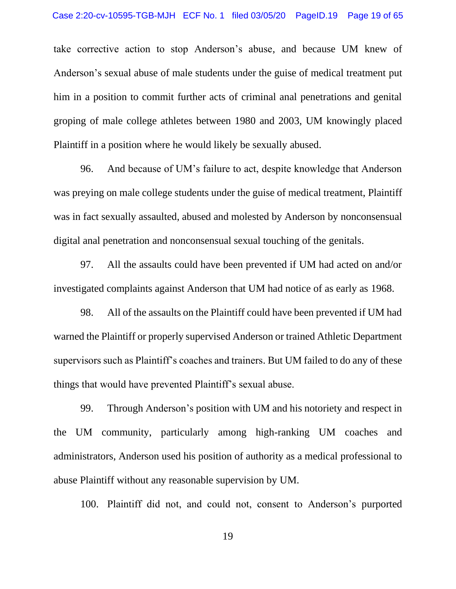take corrective action to stop Anderson's abuse, and because UM knew of Anderson's sexual abuse of male students under the guise of medical treatment put him in a position to commit further acts of criminal anal penetrations and genital groping of male college athletes between 1980 and 2003, UM knowingly placed Plaintiff in a position where he would likely be sexually abused.

96. And because of UM's failure to act, despite knowledge that Anderson was preying on male college students under the guise of medical treatment, Plaintiff was in fact sexually assaulted, abused and molested by Anderson by nonconsensual digital anal penetration and nonconsensual sexual touching of the genitals.

97. All the assaults could have been prevented if UM had acted on and/or investigated complaints against Anderson that UM had notice of as early as 1968.

98. All of the assaults on the Plaintiff could have been prevented if UM had warned the Plaintiff or properly supervised Anderson or trained Athletic Department supervisors such as Plaintiff's coaches and trainers. But UM failed to do any of these things that would have prevented Plaintiff's sexual abuse.

99. Through Anderson's position with UM and his notoriety and respect in the UM community, particularly among high-ranking UM coaches and administrators, Anderson used his position of authority as a medical professional to abuse Plaintiff without any reasonable supervision by UM.

100. Plaintiff did not, and could not, consent to Anderson's purported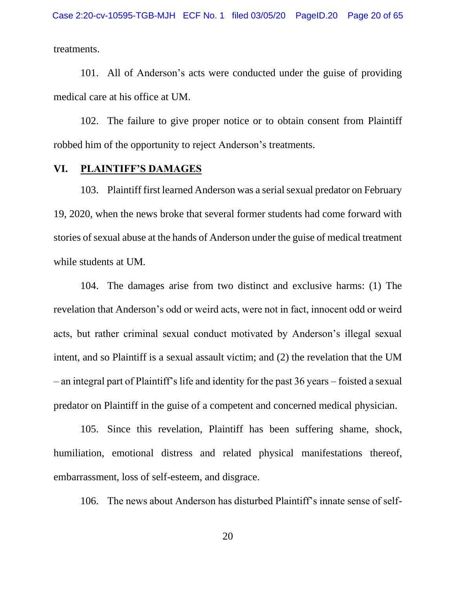treatments.

101. All of Anderson's acts were conducted under the guise of providing medical care at his office at UM.

102. The failure to give proper notice or to obtain consent from Plaintiff robbed him of the opportunity to reject Anderson's treatments.

#### **VI. PLAINTIFF'S DAMAGES**

103. Plaintiff first learned Anderson was a serial sexual predator on February 19, 2020, when the news broke that several former students had come forward with stories of sexual abuse at the hands of Anderson under the guise of medical treatment while students at UM.

104. The damages arise from two distinct and exclusive harms: (1) The revelation that Anderson's odd or weird acts, were not in fact, innocent odd or weird acts, but rather criminal sexual conduct motivated by Anderson's illegal sexual intent, and so Plaintiff is a sexual assault victim; and (2) the revelation that the UM – an integral part of Plaintiff's life and identity for the past 36 years – foisted a sexual predator on Plaintiff in the guise of a competent and concerned medical physician.

105. Since this revelation, Plaintiff has been suffering shame, shock, humiliation, emotional distress and related physical manifestations thereof, embarrassment, loss of self-esteem, and disgrace.

106. The news about Anderson has disturbed Plaintiff's innate sense of self-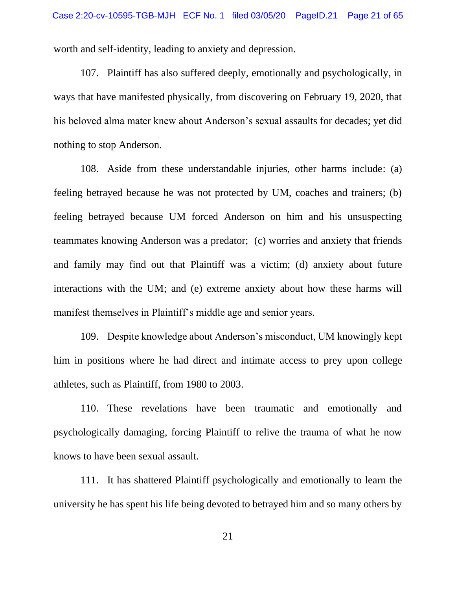worth and self-identity, leading to anxiety and depression.

107. Plaintiff has also suffered deeply, emotionally and psychologically, in ways that have manifested physically, from discovering on February 19, 2020, that his beloved alma mater knew about Anderson's sexual assaults for decades; yet did nothing to stop Anderson.

108. Aside from these understandable injuries, other harms include: (a) feeling betrayed because he was not protected by UM, coaches and trainers; (b) feeling betrayed because UM forced Anderson on him and his unsuspecting teammates knowing Anderson was a predator; (c) worries and anxiety that friends and family may find out that Plaintiff was a victim; (d) anxiety about future interactions with the UM; and (e) extreme anxiety about how these harms will manifest themselves in Plaintiff's middle age and senior years.

109. Despite knowledge about Anderson's misconduct, UM knowingly kept him in positions where he had direct and intimate access to prey upon college athletes, such as Plaintiff, from 1980 to 2003.

110. These revelations have been traumatic and emotionally and psychologically damaging, forcing Plaintiff to relive the trauma of what he now knows to have been sexual assault.

111. It has shattered Plaintiff psychologically and emotionally to learn the university he has spent his life being devoted to betrayed him and so many others by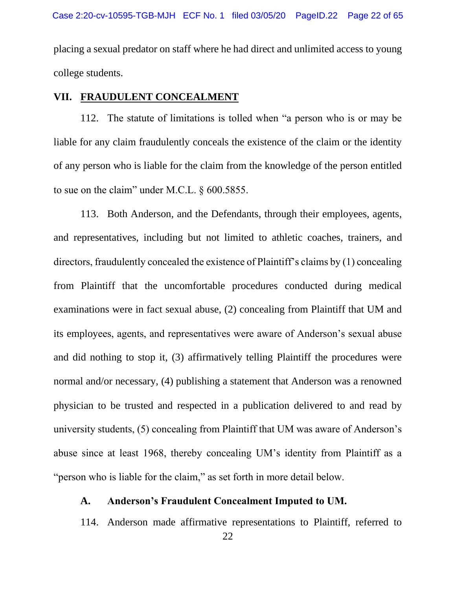placing a sexual predator on staff where he had direct and unlimited access to young college students.

#### **VII. FRAUDULENT CONCEALMENT**

112. The statute of limitations is tolled when "a person who is or may be liable for any claim fraudulently conceals the existence of the claim or the identity of any person who is liable for the claim from the knowledge of the person entitled to sue on the claim" under M.C.L. § 600.5855.

113. Both Anderson, and the Defendants, through their employees, agents, and representatives, including but not limited to athletic coaches, trainers, and directors, fraudulently concealed the existence of Plaintiff's claims by (1) concealing from Plaintiff that the uncomfortable procedures conducted during medical examinations were in fact sexual abuse, (2) concealing from Plaintiff that UM and its employees, agents, and representatives were aware of Anderson's sexual abuse and did nothing to stop it, (3) affirmatively telling Plaintiff the procedures were normal and/or necessary, (4) publishing a statement that Anderson was a renowned physician to be trusted and respected in a publication delivered to and read by university students, (5) concealing from Plaintiff that UM was aware of Anderson's abuse since at least 1968, thereby concealing UM's identity from Plaintiff as a "person who is liable for the claim," as set forth in more detail below.

#### **A. Anderson's Fraudulent Concealment Imputed to UM.**

114. Anderson made affirmative representations to Plaintiff, referred to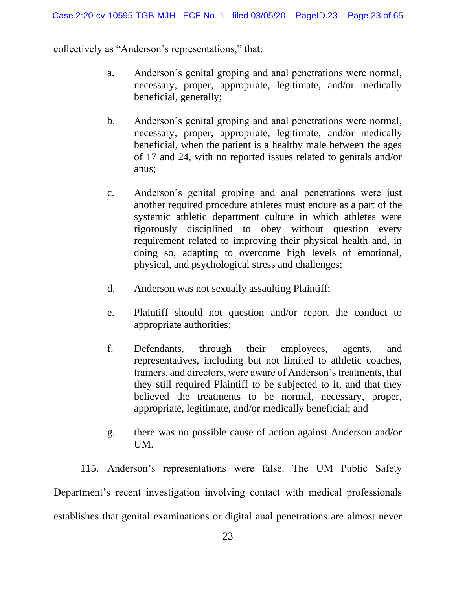collectively as "Anderson's representations," that:

- a. Anderson's genital groping and anal penetrations were normal, necessary, proper, appropriate, legitimate, and/or medically beneficial, generally;
- b. Anderson's genital groping and anal penetrations were normal, necessary, proper, appropriate, legitimate, and/or medically beneficial, when the patient is a healthy male between the ages of 17 and 24, with no reported issues related to genitals and/or anus;
- c. Anderson's genital groping and anal penetrations were just another required procedure athletes must endure as a part of the systemic athletic department culture in which athletes were rigorously disciplined to obey without question every requirement related to improving their physical health and, in doing so, adapting to overcome high levels of emotional, physical, and psychological stress and challenges;
- d. Anderson was not sexually assaulting Plaintiff;
- e. Plaintiff should not question and/or report the conduct to appropriate authorities;
- f. Defendants, through their employees, agents, and representatives, including but not limited to athletic coaches, trainers, and directors, were aware of Anderson's treatments, that they still required Plaintiff to be subjected to it, and that they believed the treatments to be normal, necessary, proper, appropriate, legitimate, and/or medically beneficial; and
- g. there was no possible cause of action against Anderson and/or UM.

115. Anderson's representations were false. The UM Public Safety Department's recent investigation involving contact with medical professionals establishes that genital examinations or digital anal penetrations are almost never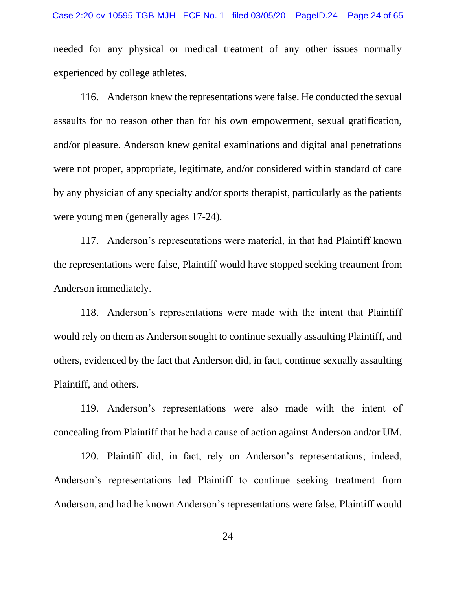needed for any physical or medical treatment of any other issues normally experienced by college athletes.

116. Anderson knew the representations were false. He conducted the sexual assaults for no reason other than for his own empowerment, sexual gratification, and/or pleasure. Anderson knew genital examinations and digital anal penetrations were not proper, appropriate, legitimate, and/or considered within standard of care by any physician of any specialty and/or sports therapist, particularly as the patients were young men (generally ages 17-24).

117. Anderson's representations were material, in that had Plaintiff known the representations were false, Plaintiff would have stopped seeking treatment from Anderson immediately.

118. Anderson's representations were made with the intent that Plaintiff would rely on them as Anderson sought to continue sexually assaulting Plaintiff, and others, evidenced by the fact that Anderson did, in fact, continue sexually assaulting Plaintiff, and others.

119. Anderson's representations were also made with the intent of concealing from Plaintiff that he had a cause of action against Anderson and/or UM.

120. Plaintiff did, in fact, rely on Anderson's representations; indeed, Anderson's representations led Plaintiff to continue seeking treatment from Anderson, and had he known Anderson's representations were false, Plaintiff would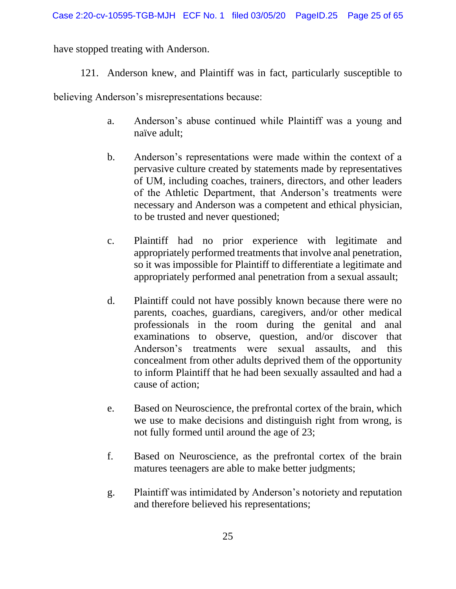have stopped treating with Anderson.

121. Anderson knew, and Plaintiff was in fact, particularly susceptible to

believing Anderson's misrepresentations because:

- a. Anderson's abuse continued while Plaintiff was a young and naïve adult;
- b. Anderson's representations were made within the context of a pervasive culture created by statements made by representatives of UM, including coaches, trainers, directors, and other leaders of the Athletic Department, that Anderson's treatments were necessary and Anderson was a competent and ethical physician, to be trusted and never questioned;
- c. Plaintiff had no prior experience with legitimate and appropriately performed treatments that involve anal penetration, so it was impossible for Plaintiff to differentiate a legitimate and appropriately performed anal penetration from a sexual assault;
- d. Plaintiff could not have possibly known because there were no parents, coaches, guardians, caregivers, and/or other medical professionals in the room during the genital and anal examinations to observe, question, and/or discover that Anderson's treatments were sexual assaults, and this concealment from other adults deprived them of the opportunity to inform Plaintiff that he had been sexually assaulted and had a cause of action;
- e. Based on Neuroscience, the prefrontal cortex of the brain, which we use to make decisions and distinguish right from wrong, is not fully formed until around the age of 23;
- f. Based on Neuroscience, as the prefrontal cortex of the brain matures teenagers are able to make better judgments;
- g. Plaintiff was intimidated by Anderson's notoriety and reputation and therefore believed his representations;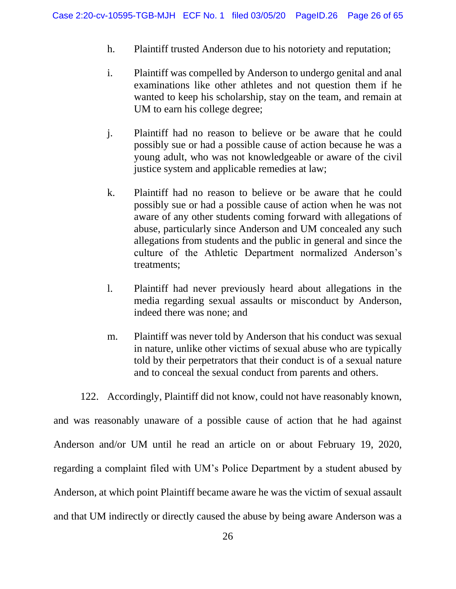- h. Plaintiff trusted Anderson due to his notoriety and reputation;
- i. Plaintiff was compelled by Anderson to undergo genital and anal examinations like other athletes and not question them if he wanted to keep his scholarship, stay on the team, and remain at UM to earn his college degree;
- j. Plaintiff had no reason to believe or be aware that he could possibly sue or had a possible cause of action because he was a young adult, who was not knowledgeable or aware of the civil justice system and applicable remedies at law;
- k. Plaintiff had no reason to believe or be aware that he could possibly sue or had a possible cause of action when he was not aware of any other students coming forward with allegations of abuse, particularly since Anderson and UM concealed any such allegations from students and the public in general and since the culture of the Athletic Department normalized Anderson's treatments;
- l. Plaintiff had never previously heard about allegations in the media regarding sexual assaults or misconduct by Anderson, indeed there was none; and
- m. Plaintiff was never told by Anderson that his conduct was sexual in nature, unlike other victims of sexual abuse who are typically told by their perpetrators that their conduct is of a sexual nature and to conceal the sexual conduct from parents and others.

122. Accordingly, Plaintiff did not know, could not have reasonably known, and was reasonably unaware of a possible cause of action that he had against Anderson and/or UM until he read an article on or about February 19, 2020, regarding a complaint filed with UM's Police Department by a student abused by Anderson, at which point Plaintiff became aware he was the victim of sexual assault and that UM indirectly or directly caused the abuse by being aware Anderson was a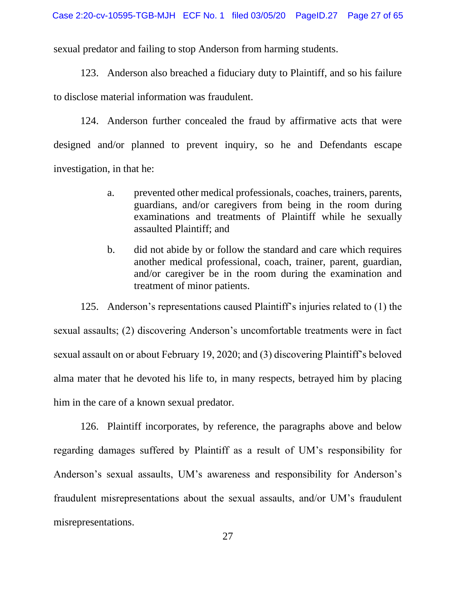sexual predator and failing to stop Anderson from harming students.

123. Anderson also breached a fiduciary duty to Plaintiff, and so his failure to disclose material information was fraudulent.

124. Anderson further concealed the fraud by affirmative acts that were designed and/or planned to prevent inquiry, so he and Defendants escape investigation, in that he:

- a. prevented other medical professionals, coaches, trainers, parents, guardians, and/or caregivers from being in the room during examinations and treatments of Plaintiff while he sexually assaulted Plaintiff; and
- b. did not abide by or follow the standard and care which requires another medical professional, coach, trainer, parent, guardian, and/or caregiver be in the room during the examination and treatment of minor patients.

125. Anderson's representations caused Plaintiff's injuries related to (1) the sexual assaults; (2) discovering Anderson's uncomfortable treatments were in fact sexual assault on or about February 19, 2020; and (3) discovering Plaintiff's beloved alma mater that he devoted his life to, in many respects, betrayed him by placing him in the care of a known sexual predator.

126. Plaintiff incorporates, by reference, the paragraphs above and below regarding damages suffered by Plaintiff as a result of UM's responsibility for Anderson's sexual assaults, UM's awareness and responsibility for Anderson's fraudulent misrepresentations about the sexual assaults, and/or UM's fraudulent misrepresentations.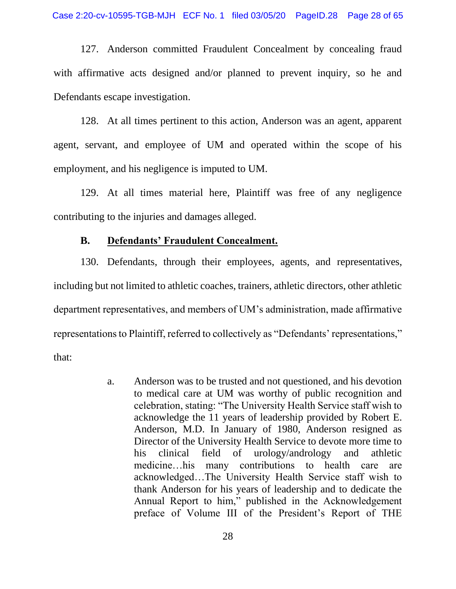127. Anderson committed Fraudulent Concealment by concealing fraud with affirmative acts designed and/or planned to prevent inquiry, so he and Defendants escape investigation.

128. At all times pertinent to this action, Anderson was an agent, apparent agent, servant, and employee of UM and operated within the scope of his employment, and his negligence is imputed to UM.

129. At all times material here, Plaintiff was free of any negligence contributing to the injuries and damages alleged.

#### **B. Defendants' Fraudulent Concealment.**

130. Defendants, through their employees, agents, and representatives, including but not limited to athletic coaches, trainers, athletic directors, other athletic department representatives, and members of UM's administration, made affirmative representations to Plaintiff, referred to collectively as "Defendants' representations," that:

> a. Anderson was to be trusted and not questioned, and his devotion to medical care at UM was worthy of public recognition and celebration, stating: "The University Health Service staff wish to acknowledge the 11 years of leadership provided by Robert E. Anderson, M.D. In January of 1980, Anderson resigned as Director of the University Health Service to devote more time to his clinical field of urology/andrology and athletic medicine…his many contributions to health care are acknowledged…The University Health Service staff wish to thank Anderson for his years of leadership and to dedicate the Annual Report to him," published in the Acknowledgement preface of Volume III of the President's Report of THE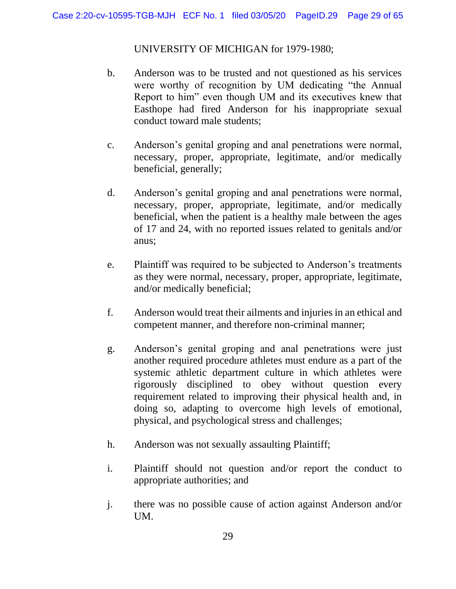UNIVERSITY OF MICHIGAN for 1979-1980;

- b. Anderson was to be trusted and not questioned as his services were worthy of recognition by UM dedicating "the Annual Report to him" even though UM and its executives knew that Easthope had fired Anderson for his inappropriate sexual conduct toward male students;
- c. Anderson's genital groping and anal penetrations were normal, necessary, proper, appropriate, legitimate, and/or medically beneficial, generally;
- d. Anderson's genital groping and anal penetrations were normal, necessary, proper, appropriate, legitimate, and/or medically beneficial, when the patient is a healthy male between the ages of 17 and 24, with no reported issues related to genitals and/or anus;
- e. Plaintiff was required to be subjected to Anderson's treatments as they were normal, necessary, proper, appropriate, legitimate, and/or medically beneficial;
- f. Anderson would treat their ailments and injuries in an ethical and competent manner, and therefore non-criminal manner;
- g. Anderson's genital groping and anal penetrations were just another required procedure athletes must endure as a part of the systemic athletic department culture in which athletes were rigorously disciplined to obey without question every requirement related to improving their physical health and, in doing so, adapting to overcome high levels of emotional, physical, and psychological stress and challenges;
- h. Anderson was not sexually assaulting Plaintiff;
- i. Plaintiff should not question and/or report the conduct to appropriate authorities; and
- j. there was no possible cause of action against Anderson and/or UM.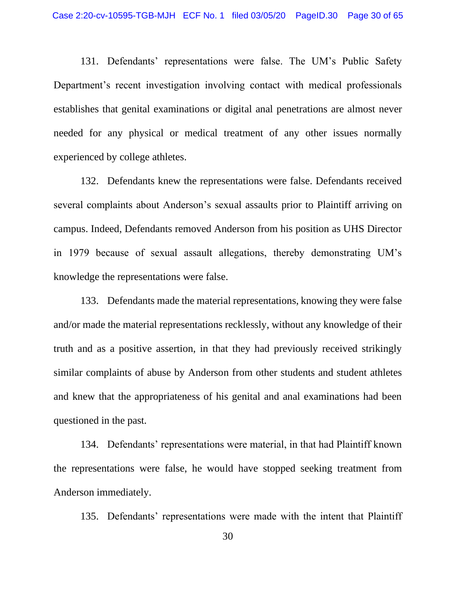131. Defendants' representations were false. The UM's Public Safety Department's recent investigation involving contact with medical professionals establishes that genital examinations or digital anal penetrations are almost never needed for any physical or medical treatment of any other issues normally experienced by college athletes.

132. Defendants knew the representations were false. Defendants received several complaints about Anderson's sexual assaults prior to Plaintiff arriving on campus. Indeed, Defendants removed Anderson from his position as UHS Director in 1979 because of sexual assault allegations, thereby demonstrating UM's knowledge the representations were false.

133. Defendants made the material representations, knowing they were false and/or made the material representations recklessly, without any knowledge of their truth and as a positive assertion, in that they had previously received strikingly similar complaints of abuse by Anderson from other students and student athletes and knew that the appropriateness of his genital and anal examinations had been questioned in the past.

134. Defendants' representations were material, in that had Plaintiff known the representations were false, he would have stopped seeking treatment from Anderson immediately.

135. Defendants' representations were made with the intent that Plaintiff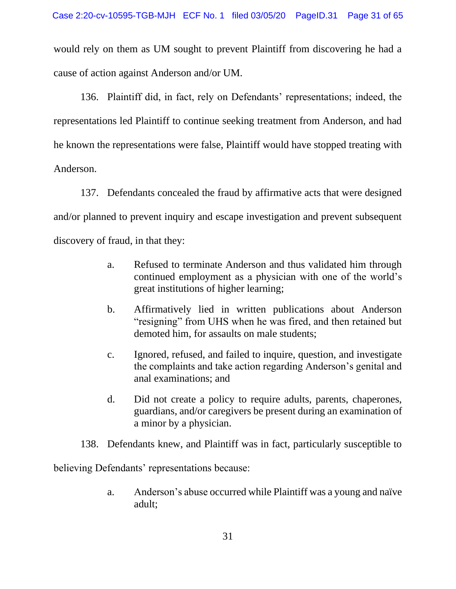would rely on them as UM sought to prevent Plaintiff from discovering he had a cause of action against Anderson and/or UM.

136. Plaintiff did, in fact, rely on Defendants' representations; indeed, the representations led Plaintiff to continue seeking treatment from Anderson, and had he known the representations were false, Plaintiff would have stopped treating with Anderson.

137. Defendants concealed the fraud by affirmative acts that were designed and/or planned to prevent inquiry and escape investigation and prevent subsequent discovery of fraud, in that they:

- a. Refused to terminate Anderson and thus validated him through continued employment as a physician with one of the world's great institutions of higher learning;
- b. Affirmatively lied in written publications about Anderson "resigning" from UHS when he was fired, and then retained but demoted him, for assaults on male students;
- c. Ignored, refused, and failed to inquire, question, and investigate the complaints and take action regarding Anderson's genital and anal examinations; and
- d. Did not create a policy to require adults, parents, chaperones, guardians, and/or caregivers be present during an examination of a minor by a physician.
- 138. Defendants knew, and Plaintiff was in fact, particularly susceptible to

believing Defendants' representations because:

a. Anderson's abuse occurred while Plaintiff was a young and naïve adult;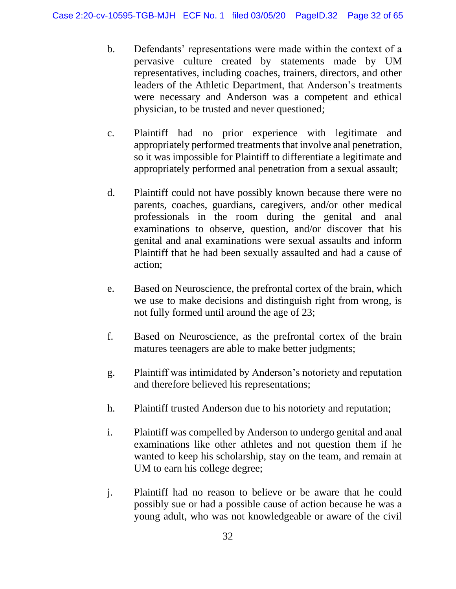- b. Defendants' representations were made within the context of a pervasive culture created by statements made by UM representatives, including coaches, trainers, directors, and other leaders of the Athletic Department, that Anderson's treatments were necessary and Anderson was a competent and ethical physician, to be trusted and never questioned;
- c. Plaintiff had no prior experience with legitimate and appropriately performed treatments that involve anal penetration, so it was impossible for Plaintiff to differentiate a legitimate and appropriately performed anal penetration from a sexual assault;
- d. Plaintiff could not have possibly known because there were no parents, coaches, guardians, caregivers, and/or other medical professionals in the room during the genital and anal examinations to observe, question, and/or discover that his genital and anal examinations were sexual assaults and inform Plaintiff that he had been sexually assaulted and had a cause of action;
- e. Based on Neuroscience, the prefrontal cortex of the brain, which we use to make decisions and distinguish right from wrong, is not fully formed until around the age of 23;
- f. Based on Neuroscience, as the prefrontal cortex of the brain matures teenagers are able to make better judgments;
- g. Plaintiff was intimidated by Anderson's notoriety and reputation and therefore believed his representations;
- h. Plaintiff trusted Anderson due to his notoriety and reputation;
- i. Plaintiff was compelled by Anderson to undergo genital and anal examinations like other athletes and not question them if he wanted to keep his scholarship, stay on the team, and remain at UM to earn his college degree;
- j. Plaintiff had no reason to believe or be aware that he could possibly sue or had a possible cause of action because he was a young adult, who was not knowledgeable or aware of the civil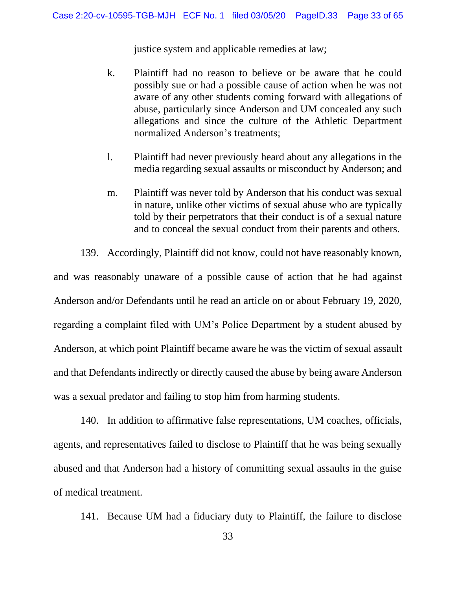justice system and applicable remedies at law;

- k. Plaintiff had no reason to believe or be aware that he could possibly sue or had a possible cause of action when he was not aware of any other students coming forward with allegations of abuse, particularly since Anderson and UM concealed any such allegations and since the culture of the Athletic Department normalized Anderson's treatments;
- l. Plaintiff had never previously heard about any allegations in the media regarding sexual assaults or misconduct by Anderson; and
- m. Plaintiff was never told by Anderson that his conduct was sexual in nature, unlike other victims of sexual abuse who are typically told by their perpetrators that their conduct is of a sexual nature and to conceal the sexual conduct from their parents and others.

139. Accordingly, Plaintiff did not know, could not have reasonably known, and was reasonably unaware of a possible cause of action that he had against Anderson and/or Defendants until he read an article on or about February 19, 2020, regarding a complaint filed with UM's Police Department by a student abused by Anderson, at which point Plaintiff became aware he was the victim of sexual assault and that Defendants indirectly or directly caused the abuse by being aware Anderson was a sexual predator and failing to stop him from harming students.

140. In addition to affirmative false representations, UM coaches, officials, agents, and representatives failed to disclose to Plaintiff that he was being sexually abused and that Anderson had a history of committing sexual assaults in the guise of medical treatment.

141. Because UM had a fiduciary duty to Plaintiff, the failure to disclose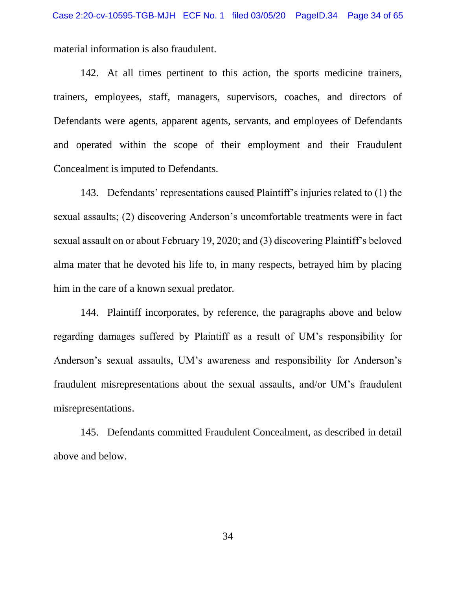material information is also fraudulent.

142. At all times pertinent to this action, the sports medicine trainers, trainers, employees, staff, managers, supervisors, coaches, and directors of Defendants were agents, apparent agents, servants, and employees of Defendants and operated within the scope of their employment and their Fraudulent Concealment is imputed to Defendants.

143. Defendants' representations caused Plaintiff's injuries related to (1) the sexual assaults; (2) discovering Anderson's uncomfortable treatments were in fact sexual assault on or about February 19, 2020; and (3) discovering Plaintiff's beloved alma mater that he devoted his life to, in many respects, betrayed him by placing him in the care of a known sexual predator.

144. Plaintiff incorporates, by reference, the paragraphs above and below regarding damages suffered by Plaintiff as a result of UM's responsibility for Anderson's sexual assaults, UM's awareness and responsibility for Anderson's fraudulent misrepresentations about the sexual assaults, and/or UM's fraudulent misrepresentations.

145. Defendants committed Fraudulent Concealment, as described in detail above and below.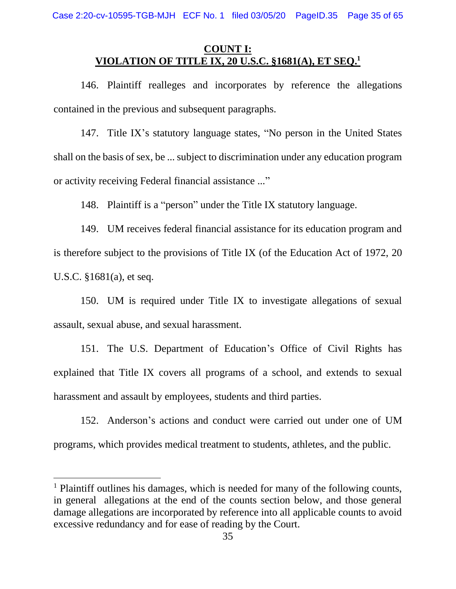## **COUNT I: VIOLATION OF TITLE IX, 20 U.S.C. §1681(A), ET SEQ. 1**

146. Plaintiff realleges and incorporates by reference the allegations contained in the previous and subsequent paragraphs.

147. Title IX's statutory language states, "No person in the United States shall on the basis of sex, be ... subject to discrimination under any education program or activity receiving Federal financial assistance ..."

148. Plaintiff is a "person" under the Title IX statutory language.

149. UM receives federal financial assistance for its education program and is therefore subject to the provisions of Title IX (of the Education Act of 1972, 20 U.S.C. §1681(a), et seq.

150. UM is required under Title IX to investigate allegations of sexual assault, sexual abuse, and sexual harassment.

151. The U.S. Department of Education's Office of Civil Rights has explained that Title IX covers all programs of a school, and extends to sexual harassment and assault by employees, students and third parties.

152. Anderson's actions and conduct were carried out under one of UM programs, which provides medical treatment to students, athletes, and the public.

 $<sup>1</sup>$  Plaintiff outlines his damages, which is needed for many of the following counts,</sup> in general allegations at the end of the counts section below, and those general damage allegations are incorporated by reference into all applicable counts to avoid excessive redundancy and for ease of reading by the Court.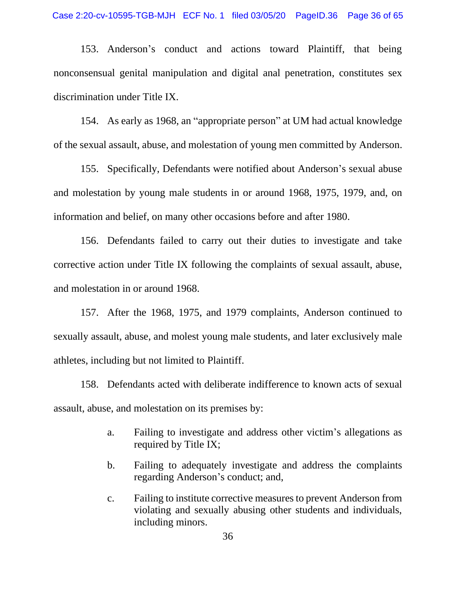153. Anderson's conduct and actions toward Plaintiff, that being nonconsensual genital manipulation and digital anal penetration, constitutes sex discrimination under Title IX.

154. As early as 1968, an "appropriate person" at UM had actual knowledge of the sexual assault, abuse, and molestation of young men committed by Anderson.

155. Specifically, Defendants were notified about Anderson's sexual abuse and molestation by young male students in or around 1968, 1975, 1979, and, on information and belief, on many other occasions before and after 1980.

156. Defendants failed to carry out their duties to investigate and take corrective action under Title IX following the complaints of sexual assault, abuse, and molestation in or around 1968.

157. After the 1968, 1975, and 1979 complaints, Anderson continued to sexually assault, abuse, and molest young male students, and later exclusively male athletes, including but not limited to Plaintiff.

158. Defendants acted with deliberate indifference to known acts of sexual assault, abuse, and molestation on its premises by:

- a. Failing to investigate and address other victim's allegations as required by Title IX;
- b. Failing to adequately investigate and address the complaints regarding Anderson's conduct; and,
- c. Failing to institute corrective measures to prevent Anderson from violating and sexually abusing other students and individuals, including minors.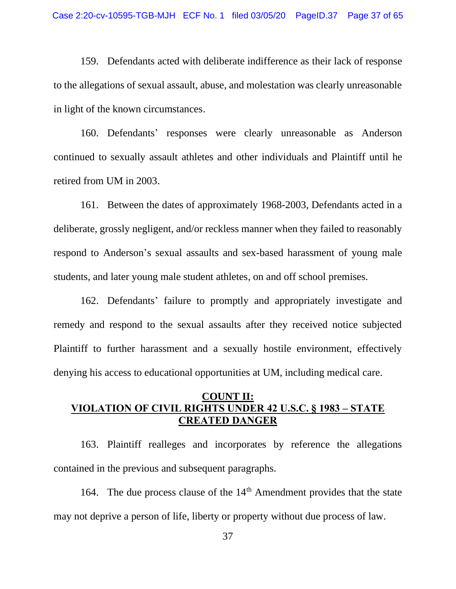159. Defendants acted with deliberate indifference as their lack of response to the allegations of sexual assault, abuse, and molestation was clearly unreasonable in light of the known circumstances.

160. Defendants' responses were clearly unreasonable as Anderson continued to sexually assault athletes and other individuals and Plaintiff until he retired from UM in 2003.

161. Between the dates of approximately 1968-2003, Defendants acted in a deliberate, grossly negligent, and/or reckless manner when they failed to reasonably respond to Anderson's sexual assaults and sex-based harassment of young male students, and later young male student athletes, on and off school premises.

162. Defendants' failure to promptly and appropriately investigate and remedy and respond to the sexual assaults after they received notice subjected Plaintiff to further harassment and a sexually hostile environment, effectively denying his access to educational opportunities at UM, including medical care.

## **COUNT II: VIOLATION OF CIVIL RIGHTS UNDER 42 U.S.C. § 1983 – STATE CREATED DANGER**

163. Plaintiff realleges and incorporates by reference the allegations contained in the previous and subsequent paragraphs.

164. The due process clause of the  $14<sup>th</sup>$  Amendment provides that the state may not deprive a person of life, liberty or property without due process of law.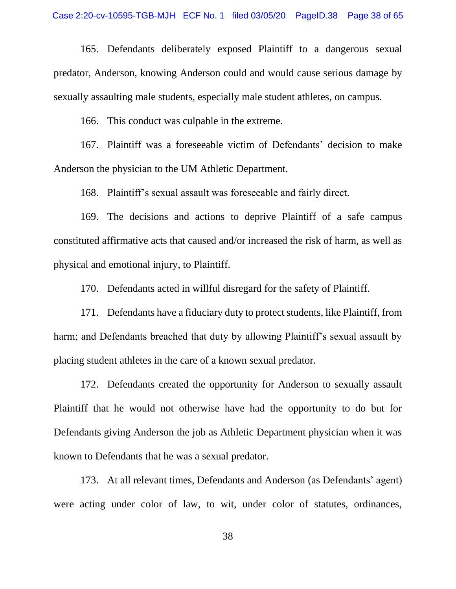165. Defendants deliberately exposed Plaintiff to a dangerous sexual predator, Anderson, knowing Anderson could and would cause serious damage by sexually assaulting male students, especially male student athletes, on campus.

166. This conduct was culpable in the extreme.

167. Plaintiff was a foreseeable victim of Defendants' decision to make Anderson the physician to the UM Athletic Department.

168. Plaintiff's sexual assault was foreseeable and fairly direct.

169. The decisions and actions to deprive Plaintiff of a safe campus constituted affirmative acts that caused and/or increased the risk of harm, as well as physical and emotional injury, to Plaintiff.

170. Defendants acted in willful disregard for the safety of Plaintiff.

171. Defendants have a fiduciary duty to protect students, like Plaintiff, from harm; and Defendants breached that duty by allowing Plaintiff's sexual assault by placing student athletes in the care of a known sexual predator.

172. Defendants created the opportunity for Anderson to sexually assault Plaintiff that he would not otherwise have had the opportunity to do but for Defendants giving Anderson the job as Athletic Department physician when it was known to Defendants that he was a sexual predator.

173. At all relevant times, Defendants and Anderson (as Defendants' agent) were acting under color of law, to wit, under color of statutes, ordinances,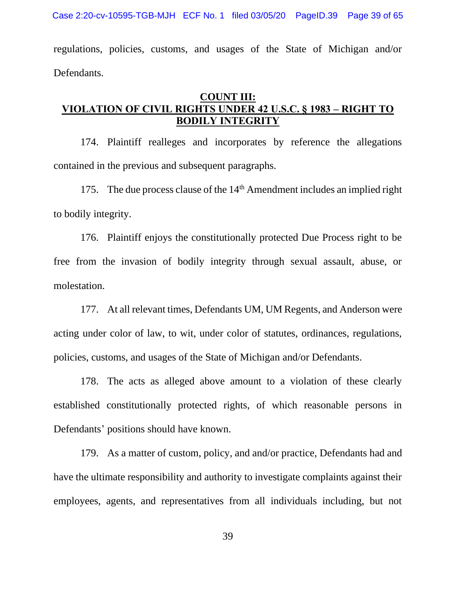Case 2:20-cv-10595-TGB-MJH ECF No. 1 filed 03/05/20 PageID.39 Page 39 of 65

regulations, policies, customs, and usages of the State of Michigan and/or Defendants.

#### **COUNT III: VIOLATION OF CIVIL RIGHTS UNDER 42 U.S.C. § 1983 – RIGHT TO BODILY INTEGRITY**

174. Plaintiff realleges and incorporates by reference the allegations contained in the previous and subsequent paragraphs.

175. The due process clause of the  $14<sup>th</sup>$  Amendment includes an implied right to bodily integrity.

176. Plaintiff enjoys the constitutionally protected Due Process right to be free from the invasion of bodily integrity through sexual assault, abuse, or molestation.

177. At all relevant times, Defendants UM, UM Regents, and Anderson were acting under color of law, to wit, under color of statutes, ordinances, regulations, policies, customs, and usages of the State of Michigan and/or Defendants.

178. The acts as alleged above amount to a violation of these clearly established constitutionally protected rights, of which reasonable persons in Defendants' positions should have known.

179. As a matter of custom, policy, and and/or practice, Defendants had and have the ultimate responsibility and authority to investigate complaints against their employees, agents, and representatives from all individuals including, but not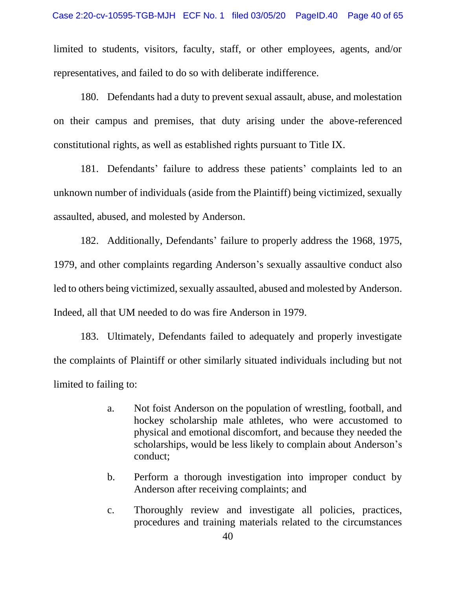limited to students, visitors, faculty, staff, or other employees, agents, and/or representatives, and failed to do so with deliberate indifference.

180. Defendants had a duty to prevent sexual assault, abuse, and molestation on their campus and premises, that duty arising under the above-referenced constitutional rights, as well as established rights pursuant to Title IX.

181. Defendants' failure to address these patients' complaints led to an unknown number of individuals (aside from the Plaintiff) being victimized, sexually assaulted, abused, and molested by Anderson.

182. Additionally, Defendants' failure to properly address the 1968, 1975, 1979, and other complaints regarding Anderson's sexually assaultive conduct also led to others being victimized, sexually assaulted, abused and molested by Anderson. Indeed, all that UM needed to do was fire Anderson in 1979.

183. Ultimately, Defendants failed to adequately and properly investigate the complaints of Plaintiff or other similarly situated individuals including but not limited to failing to:

- a. Not foist Anderson on the population of wrestling, football, and hockey scholarship male athletes, who were accustomed to physical and emotional discomfort, and because they needed the scholarships, would be less likely to complain about Anderson's conduct;
- b. Perform a thorough investigation into improper conduct by Anderson after receiving complaints; and
- c. Thoroughly review and investigate all policies, practices, procedures and training materials related to the circumstances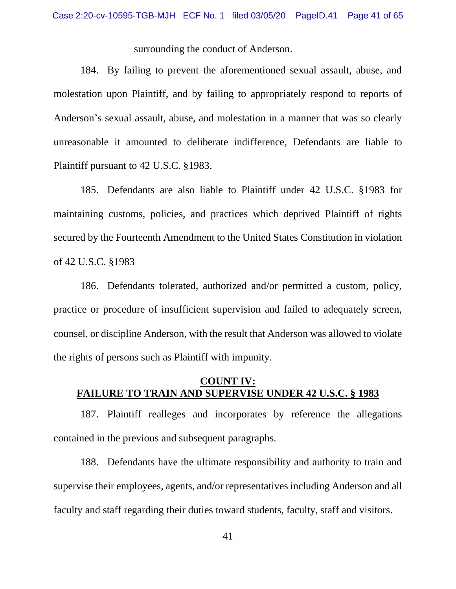surrounding the conduct of Anderson.

184. By failing to prevent the aforementioned sexual assault, abuse, and molestation upon Plaintiff, and by failing to appropriately respond to reports of Anderson's sexual assault, abuse, and molestation in a manner that was so clearly unreasonable it amounted to deliberate indifference, Defendants are liable to Plaintiff pursuant to 42 U.S.C. §1983.

185. Defendants are also liable to Plaintiff under 42 U.S.C. §1983 for maintaining customs, policies, and practices which deprived Plaintiff of rights secured by the Fourteenth Amendment to the United States Constitution in violation of 42 U.S.C. §1983

186. Defendants tolerated, authorized and/or permitted a custom, policy, practice or procedure of insufficient supervision and failed to adequately screen, counsel, or discipline Anderson, with the result that Anderson was allowed to violate the rights of persons such as Plaintiff with impunity.

#### **COUNT IV: FAILURE TO TRAIN AND SUPERVISE UNDER 42 U.S.C. § 1983**

187. Plaintiff realleges and incorporates by reference the allegations contained in the previous and subsequent paragraphs.

188. Defendants have the ultimate responsibility and authority to train and supervise their employees, agents, and/or representatives including Anderson and all faculty and staff regarding their duties toward students, faculty, staff and visitors.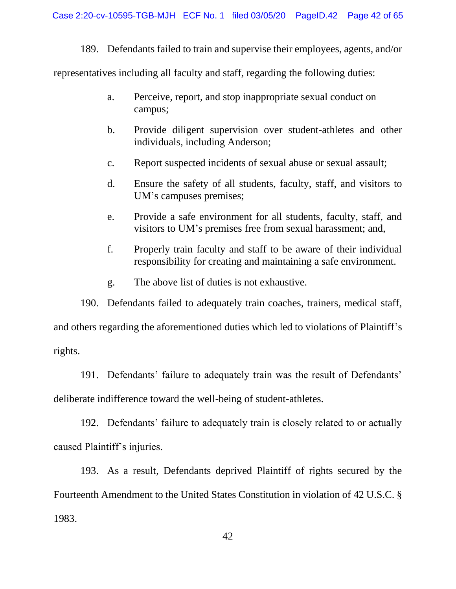189. Defendants failed to train and supervise their employees, agents, and/or

representatives including all faculty and staff, regarding the following duties:

- a. Perceive, report, and stop inappropriate sexual conduct on campus;
- b. Provide diligent supervision over student-athletes and other individuals, including Anderson;
- c. Report suspected incidents of sexual abuse or sexual assault;
- d. Ensure the safety of all students, faculty, staff, and visitors to UM's campuses premises;
- e. Provide a safe environment for all students, faculty, staff, and visitors to UM's premises free from sexual harassment; and,
- f. Properly train faculty and staff to be aware of their individual responsibility for creating and maintaining a safe environment.
- g. The above list of duties is not exhaustive.

190. Defendants failed to adequately train coaches, trainers, medical staff, and others regarding the aforementioned duties which led to violations of Plaintiff's rights.

191. Defendants' failure to adequately train was the result of Defendants' deliberate indifference toward the well-being of student-athletes.

192. Defendants' failure to adequately train is closely related to or actually caused Plaintiff's injuries.

193. As a result, Defendants deprived Plaintiff of rights secured by the Fourteenth Amendment to the United States Constitution in violation of 42 U.S.C. § 1983.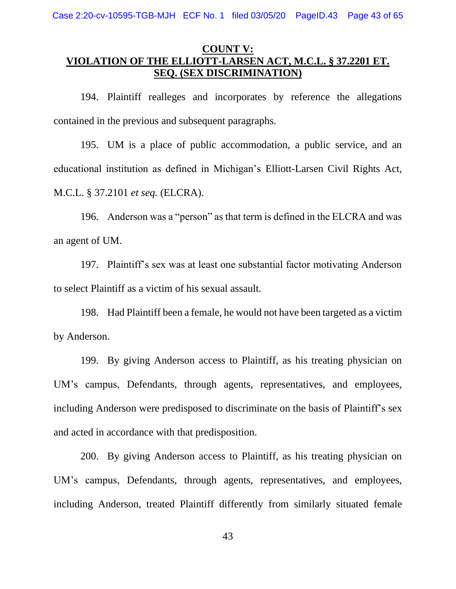Case 2:20-cv-10595-TGB-MJH ECF No. 1 filed 03/05/20 PageID.43 Page 43 of 65

## **COUNT V: VIOLATION OF THE ELLIOTT-LARSEN ACT, M.C.L. § 37.2201 ET. SEQ. (SEX DISCRIMINATION)**

194. Plaintiff realleges and incorporates by reference the allegations contained in the previous and subsequent paragraphs.

195. UM is a place of public accommodation, a public service, and an educational institution as defined in Michigan's Elliott-Larsen Civil Rights Act, M.C.L. § 37.2101 *et seq.* (ELCRA).

196. Anderson was a "person" as that term is defined in the ELCRA and was an agent of UM.

197. Plaintiff's sex was at least one substantial factor motivating Anderson to select Plaintiff as a victim of his sexual assault.

198. Had Plaintiff been a female, he would not have been targeted as a victim by Anderson.

199. By giving Anderson access to Plaintiff, as his treating physician on UM's campus, Defendants, through agents, representatives, and employees, including Anderson were predisposed to discriminate on the basis of Plaintiff's sex and acted in accordance with that predisposition.

200. By giving Anderson access to Plaintiff, as his treating physician on UM's campus, Defendants, through agents, representatives, and employees, including Anderson, treated Plaintiff differently from similarly situated female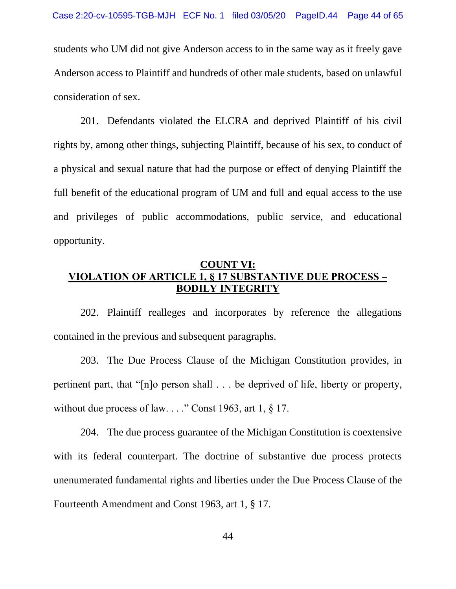students who UM did not give Anderson access to in the same way as it freely gave Anderson access to Plaintiff and hundreds of other male students, based on unlawful consideration of sex.

201. Defendants violated the ELCRA and deprived Plaintiff of his civil rights by, among other things, subjecting Plaintiff, because of his sex, to conduct of a physical and sexual nature that had the purpose or effect of denying Plaintiff the full benefit of the educational program of UM and full and equal access to the use and privileges of public accommodations, public service, and educational opportunity.

## **COUNT VI: VIOLATION OF ARTICLE 1, § 17 SUBSTANTIVE DUE PROCESS – BODILY INTEGRITY**

202. Plaintiff realleges and incorporates by reference the allegations contained in the previous and subsequent paragraphs.

203. The Due Process Clause of the Michigan Constitution provides, in pertinent part, that "[n]o person shall . . . be deprived of life, liberty or property, without due process of law. . . ." Const 1963, art 1, § 17.

204. The due process guarantee of the Michigan Constitution is coextensive with its federal counterpart. The doctrine of substantive due process protects unenumerated fundamental rights and liberties under the Due Process Clause of the Fourteenth Amendment and Const 1963, art 1, § 17.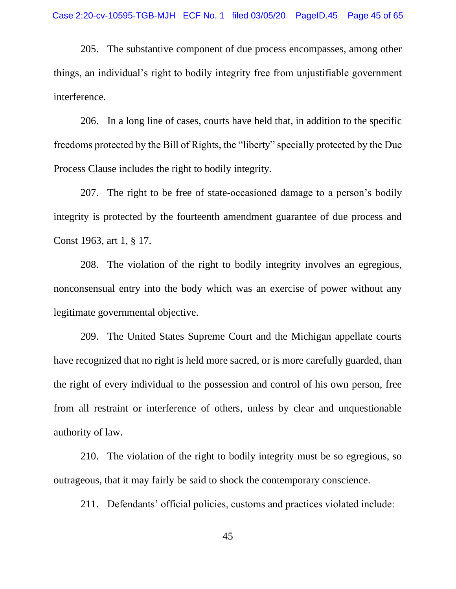205. The substantive component of due process encompasses, among other things, an individual's right to bodily integrity free from unjustifiable government interference.

206. In a long line of cases, courts have held that, in addition to the specific freedoms protected by the Bill of Rights, the "liberty" specially protected by the Due Process Clause includes the right to bodily integrity.

207. The right to be free of state-occasioned damage to a person's bodily integrity is protected by the fourteenth amendment guarantee of due process and Const 1963, art 1, § 17.

208. The violation of the right to bodily integrity involves an egregious, nonconsensual entry into the body which was an exercise of power without any legitimate governmental objective.

209. The United States Supreme Court and the Michigan appellate courts have recognized that no right is held more sacred, or is more carefully guarded, than the right of every individual to the possession and control of his own person, free from all restraint or interference of others, unless by clear and unquestionable authority of law.

210. The violation of the right to bodily integrity must be so egregious, so outrageous, that it may fairly be said to shock the contemporary conscience.

211. Defendants' official policies, customs and practices violated include: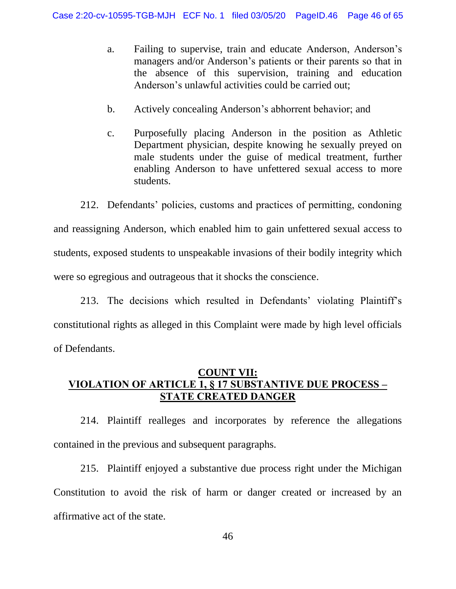- a. Failing to supervise, train and educate Anderson, Anderson's managers and/or Anderson's patients or their parents so that in the absence of this supervision, training and education Anderson's unlawful activities could be carried out;
- b. Actively concealing Anderson's abhorrent behavior; and
- c. Purposefully placing Anderson in the position as Athletic Department physician, despite knowing he sexually preyed on male students under the guise of medical treatment, further enabling Anderson to have unfettered sexual access to more students.

212. Defendants' policies, customs and practices of permitting, condoning and reassigning Anderson, which enabled him to gain unfettered sexual access to students, exposed students to unspeakable invasions of their bodily integrity which were so egregious and outrageous that it shocks the conscience.

213. The decisions which resulted in Defendants' violating Plaintiff's constitutional rights as alleged in this Complaint were made by high level officials of Defendants.

## **COUNT VII: VIOLATION OF ARTICLE 1, § 17 SUBSTANTIVE DUE PROCESS – STATE CREATED DANGER**

214. Plaintiff realleges and incorporates by reference the allegations contained in the previous and subsequent paragraphs.

215. Plaintiff enjoyed a substantive due process right under the Michigan Constitution to avoid the risk of harm or danger created or increased by an affirmative act of the state.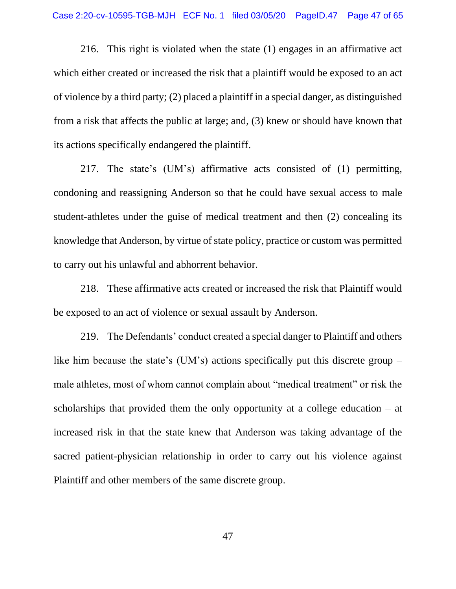216. This right is violated when the state (1) engages in an affirmative act which either created or increased the risk that a plaintiff would be exposed to an act of violence by a third party; (2) placed a plaintiff in a special danger, as distinguished from a risk that affects the public at large; and, (3) knew or should have known that its actions specifically endangered the plaintiff.

217. The state's (UM's) affirmative acts consisted of (1) permitting, condoning and reassigning Anderson so that he could have sexual access to male student-athletes under the guise of medical treatment and then (2) concealing its knowledge that Anderson, by virtue of state policy, practice or custom was permitted to carry out his unlawful and abhorrent behavior.

218. These affirmative acts created or increased the risk that Plaintiff would be exposed to an act of violence or sexual assault by Anderson.

219. The Defendants' conduct created a special danger to Plaintiff and others like him because the state's (UM's) actions specifically put this discrete group – male athletes, most of whom cannot complain about "medical treatment" or risk the scholarships that provided them the only opportunity at a college education – at increased risk in that the state knew that Anderson was taking advantage of the sacred patient-physician relationship in order to carry out his violence against Plaintiff and other members of the same discrete group.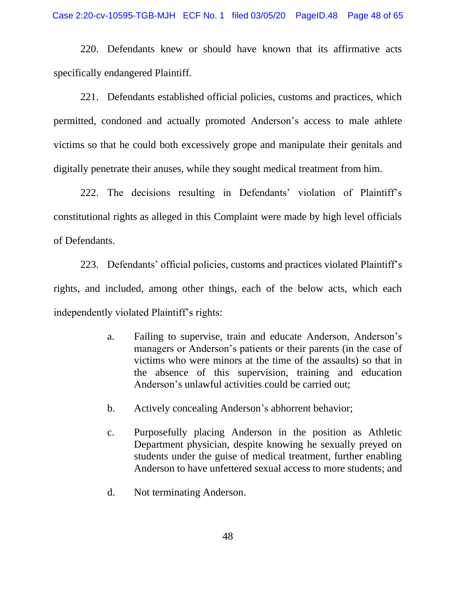220. Defendants knew or should have known that its affirmative acts specifically endangered Plaintiff.

221. Defendants established official policies, customs and practices, which permitted, condoned and actually promoted Anderson's access to male athlete victims so that he could both excessively grope and manipulate their genitals and digitally penetrate their anuses, while they sought medical treatment from him.

222. The decisions resulting in Defendants' violation of Plaintiff's constitutional rights as alleged in this Complaint were made by high level officials of Defendants.

223. Defendants' official policies, customs and practices violated Plaintiff's rights, and included, among other things, each of the below acts, which each independently violated Plaintiff's rights:

- a. Failing to supervise, train and educate Anderson, Anderson's managers or Anderson's patients or their parents (in the case of victims who were minors at the time of the assaults) so that in the absence of this supervision, training and education Anderson's unlawful activities could be carried out;
- b. Actively concealing Anderson's abhorrent behavior;
- c. Purposefully placing Anderson in the position as Athletic Department physician, despite knowing he sexually preyed on students under the guise of medical treatment, further enabling Anderson to have unfettered sexual access to more students; and
- d. Not terminating Anderson.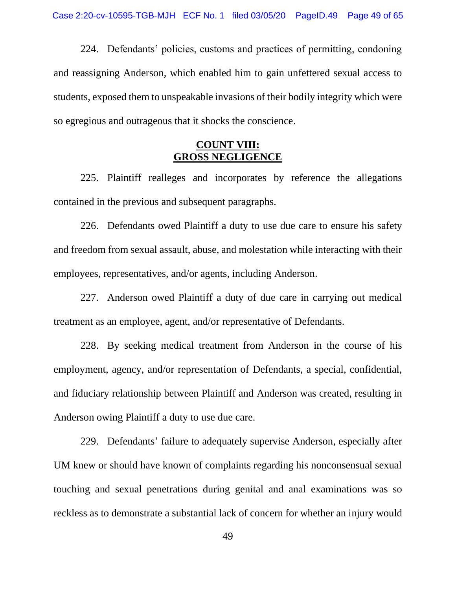224. Defendants' policies, customs and practices of permitting, condoning and reassigning Anderson, which enabled him to gain unfettered sexual access to students, exposed them to unspeakable invasions of their bodily integrity which were so egregious and outrageous that it shocks the conscience.

#### **COUNT VIII: GROSS NEGLIGENCE**

225. Plaintiff realleges and incorporates by reference the allegations contained in the previous and subsequent paragraphs.

226. Defendants owed Plaintiff a duty to use due care to ensure his safety and freedom from sexual assault, abuse, and molestation while interacting with their employees, representatives, and/or agents, including Anderson.

227. Anderson owed Plaintiff a duty of due care in carrying out medical treatment as an employee, agent, and/or representative of Defendants.

228. By seeking medical treatment from Anderson in the course of his employment, agency, and/or representation of Defendants, a special, confidential, and fiduciary relationship between Plaintiff and Anderson was created, resulting in Anderson owing Plaintiff a duty to use due care.

229. Defendants' failure to adequately supervise Anderson, especially after UM knew or should have known of complaints regarding his nonconsensual sexual touching and sexual penetrations during genital and anal examinations was so reckless as to demonstrate a substantial lack of concern for whether an injury would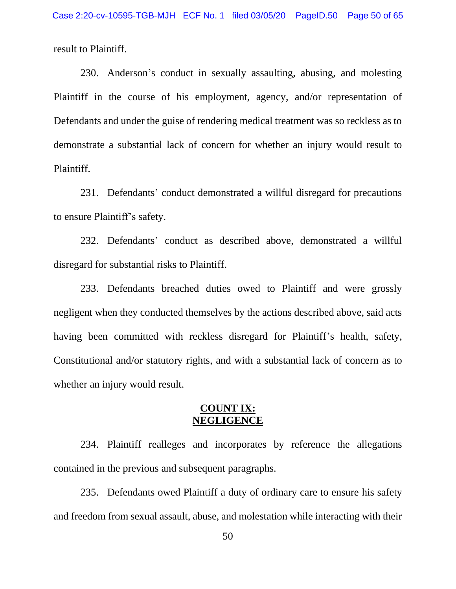result to Plaintiff.

230. Anderson's conduct in sexually assaulting, abusing, and molesting Plaintiff in the course of his employment, agency, and/or representation of Defendants and under the guise of rendering medical treatment was so reckless as to demonstrate a substantial lack of concern for whether an injury would result to Plaintiff.

231. Defendants' conduct demonstrated a willful disregard for precautions to ensure Plaintiff's safety.

232. Defendants' conduct as described above, demonstrated a willful disregard for substantial risks to Plaintiff.

233. Defendants breached duties owed to Plaintiff and were grossly negligent when they conducted themselves by the actions described above, said acts having been committed with reckless disregard for Plaintiff's health, safety, Constitutional and/or statutory rights, and with a substantial lack of concern as to whether an injury would result.

#### **COUNT IX: NEGLIGENCE**

234. Plaintiff realleges and incorporates by reference the allegations contained in the previous and subsequent paragraphs.

235. Defendants owed Plaintiff a duty of ordinary care to ensure his safety and freedom from sexual assault, abuse, and molestation while interacting with their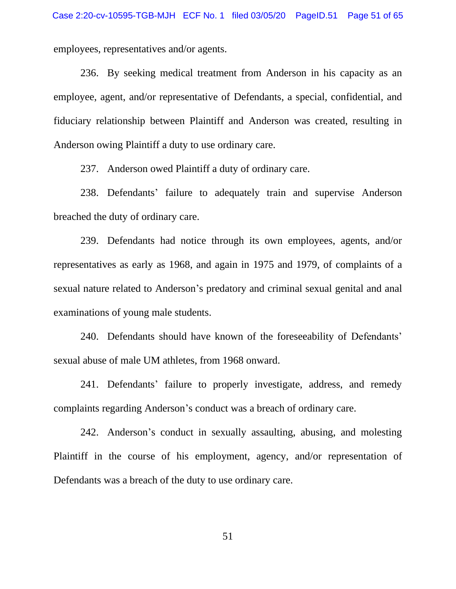employees, representatives and/or agents.

236. By seeking medical treatment from Anderson in his capacity as an employee, agent, and/or representative of Defendants, a special, confidential, and fiduciary relationship between Plaintiff and Anderson was created, resulting in Anderson owing Plaintiff a duty to use ordinary care.

237. Anderson owed Plaintiff a duty of ordinary care.

238. Defendants' failure to adequately train and supervise Anderson breached the duty of ordinary care.

239. Defendants had notice through its own employees, agents, and/or representatives as early as 1968, and again in 1975 and 1979, of complaints of a sexual nature related to Anderson's predatory and criminal sexual genital and anal examinations of young male students.

240. Defendants should have known of the foreseeability of Defendants' sexual abuse of male UM athletes, from 1968 onward.

241. Defendants' failure to properly investigate, address, and remedy complaints regarding Anderson's conduct was a breach of ordinary care.

242. Anderson's conduct in sexually assaulting, abusing, and molesting Plaintiff in the course of his employment, agency, and/or representation of Defendants was a breach of the duty to use ordinary care.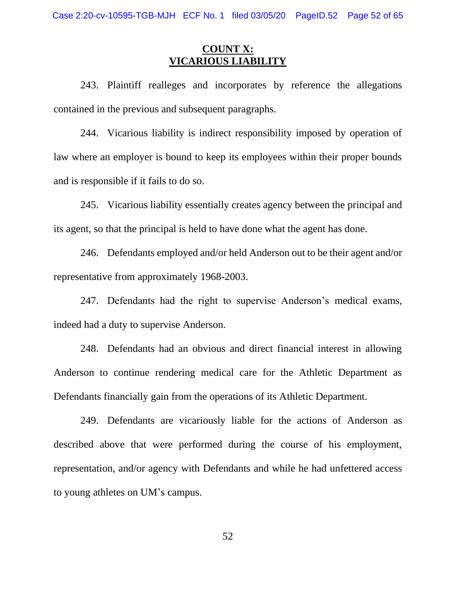## **COUNT X: VICARIOUS LIABILITY**

243. Plaintiff realleges and incorporates by reference the allegations contained in the previous and subsequent paragraphs.

244. Vicarious liability is indirect responsibility imposed by operation of law where an employer is bound to keep its employees within their proper bounds and is responsible if it fails to do so.

245. Vicarious liability essentially creates agency between the principal and its agent, so that the principal is held to have done what the agent has done.

246. Defendants employed and/or held Anderson out to be their agent and/or representative from approximately 1968-2003.

247. Defendants had the right to supervise Anderson's medical exams, indeed had a duty to supervise Anderson.

248. Defendants had an obvious and direct financial interest in allowing Anderson to continue rendering medical care for the Athletic Department as Defendants financially gain from the operations of its Athletic Department.

249. Defendants are vicariously liable for the actions of Anderson as described above that were performed during the course of his employment, representation, and/or agency with Defendants and while he had unfettered access to young athletes on UM's campus.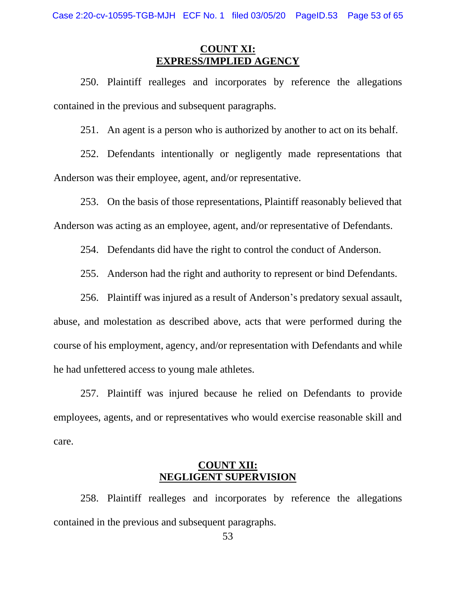## **COUNT XI: EXPRESS/IMPLIED AGENCY**

250. Plaintiff realleges and incorporates by reference the allegations contained in the previous and subsequent paragraphs.

251. An agent is a person who is authorized by another to act on its behalf.

252. Defendants intentionally or negligently made representations that Anderson was their employee, agent, and/or representative.

253. On the basis of those representations, Plaintiff reasonably believed that Anderson was acting as an employee, agent, and/or representative of Defendants.

254. Defendants did have the right to control the conduct of Anderson.

255. Anderson had the right and authority to represent or bind Defendants.

256. Plaintiff was injured as a result of Anderson's predatory sexual assault,

abuse, and molestation as described above, acts that were performed during the course of his employment, agency, and/or representation with Defendants and while he had unfettered access to young male athletes.

257. Plaintiff was injured because he relied on Defendants to provide employees, agents, and or representatives who would exercise reasonable skill and care.

#### **COUNT XII: NEGLIGENT SUPERVISION**

258. Plaintiff realleges and incorporates by reference the allegations contained in the previous and subsequent paragraphs.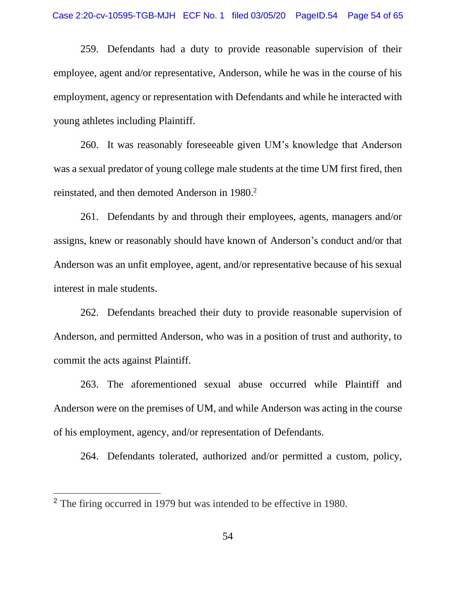259. Defendants had a duty to provide reasonable supervision of their employee, agent and/or representative, Anderson, while he was in the course of his employment, agency or representation with Defendants and while he interacted with young athletes including Plaintiff.

260. It was reasonably foreseeable given UM's knowledge that Anderson was a sexual predator of young college male students at the time UM first fired, then reinstated, and then demoted Anderson in 1980. 2

261. Defendants by and through their employees, agents, managers and/or assigns, knew or reasonably should have known of Anderson's conduct and/or that Anderson was an unfit employee, agent, and/or representative because of his sexual interest in male students.

262. Defendants breached their duty to provide reasonable supervision of Anderson, and permitted Anderson, who was in a position of trust and authority, to commit the acts against Plaintiff.

263. The aforementioned sexual abuse occurred while Plaintiff and Anderson were on the premises of UM, and while Anderson was acting in the course of his employment, agency, and/or representation of Defendants.

264. Defendants tolerated, authorized and/or permitted a custom, policy,

<sup>2</sup> The firing occurred in 1979 but was intended to be effective in 1980.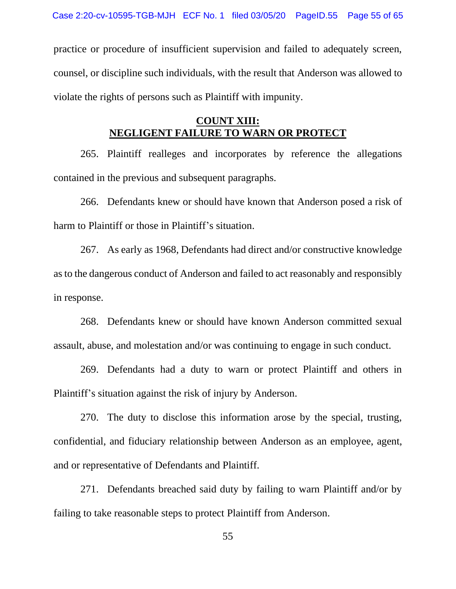practice or procedure of insufficient supervision and failed to adequately screen, counsel, or discipline such individuals, with the result that Anderson was allowed to violate the rights of persons such as Plaintiff with impunity.

#### **COUNT XIII: NEGLIGENT FAILURE TO WARN OR PROTECT**

265. Plaintiff realleges and incorporates by reference the allegations contained in the previous and subsequent paragraphs.

266. Defendants knew or should have known that Anderson posed a risk of harm to Plaintiff or those in Plaintiff's situation.

267. As early as 1968, Defendants had direct and/or constructive knowledge as to the dangerous conduct of Anderson and failed to act reasonably and responsibly in response.

268. Defendants knew or should have known Anderson committed sexual assault, abuse, and molestation and/or was continuing to engage in such conduct.

269. Defendants had a duty to warn or protect Plaintiff and others in Plaintiff's situation against the risk of injury by Anderson.

270. The duty to disclose this information arose by the special, trusting, confidential, and fiduciary relationship between Anderson as an employee, agent, and or representative of Defendants and Plaintiff.

271. Defendants breached said duty by failing to warn Plaintiff and/or by failing to take reasonable steps to protect Plaintiff from Anderson.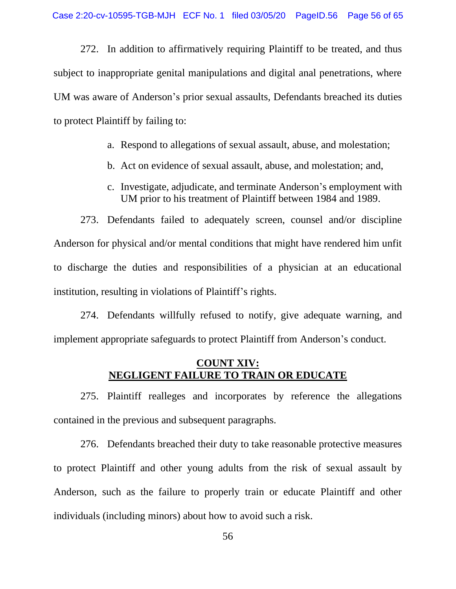272. In addition to affirmatively requiring Plaintiff to be treated, and thus subject to inappropriate genital manipulations and digital anal penetrations, where UM was aware of Anderson's prior sexual assaults, Defendants breached its duties to protect Plaintiff by failing to:

- a. Respond to allegations of sexual assault, abuse, and molestation;
- b. Act on evidence of sexual assault, abuse, and molestation; and,
- c. Investigate, adjudicate, and terminate Anderson's employment with UM prior to his treatment of Plaintiff between 1984 and 1989.

273. Defendants failed to adequately screen, counsel and/or discipline Anderson for physical and/or mental conditions that might have rendered him unfit to discharge the duties and responsibilities of a physician at an educational institution, resulting in violations of Plaintiff's rights.

274. Defendants willfully refused to notify, give adequate warning, and implement appropriate safeguards to protect Plaintiff from Anderson's conduct.

#### **COUNT XIV: NEGLIGENT FAILURE TO TRAIN OR EDUCATE**

275. Plaintiff realleges and incorporates by reference the allegations contained in the previous and subsequent paragraphs.

276. Defendants breached their duty to take reasonable protective measures to protect Plaintiff and other young adults from the risk of sexual assault by Anderson, such as the failure to properly train or educate Plaintiff and other individuals (including minors) about how to avoid such a risk.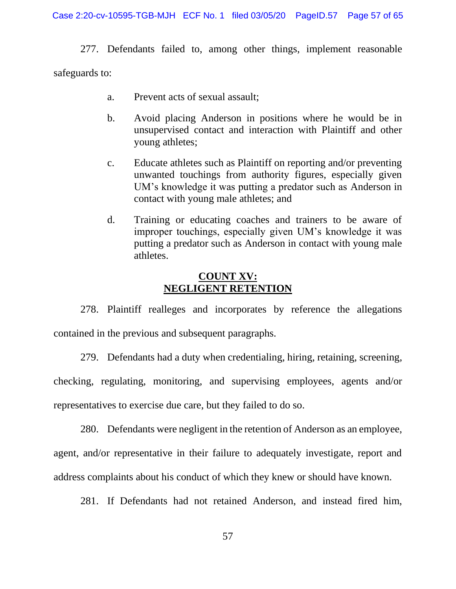277. Defendants failed to, among other things, implement reasonable safeguards to:

- a. Prevent acts of sexual assault;
- b. Avoid placing Anderson in positions where he would be in unsupervised contact and interaction with Plaintiff and other young athletes;
- c. Educate athletes such as Plaintiff on reporting and/or preventing unwanted touchings from authority figures, especially given UM's knowledge it was putting a predator such as Anderson in contact with young male athletes; and
- d. Training or educating coaches and trainers to be aware of improper touchings, especially given UM's knowledge it was putting a predator such as Anderson in contact with young male athletes.

#### **COUNT XV: NEGLIGENT RETENTION**

278. Plaintiff realleges and incorporates by reference the allegations contained in the previous and subsequent paragraphs.

279. Defendants had a duty when credentialing, hiring, retaining, screening,

checking, regulating, monitoring, and supervising employees, agents and/or representatives to exercise due care, but they failed to do so.

280. Defendants were negligent in the retention of Anderson as an employee, agent, and/or representative in their failure to adequately investigate, report and address complaints about his conduct of which they knew or should have known.

281. If Defendants had not retained Anderson, and instead fired him,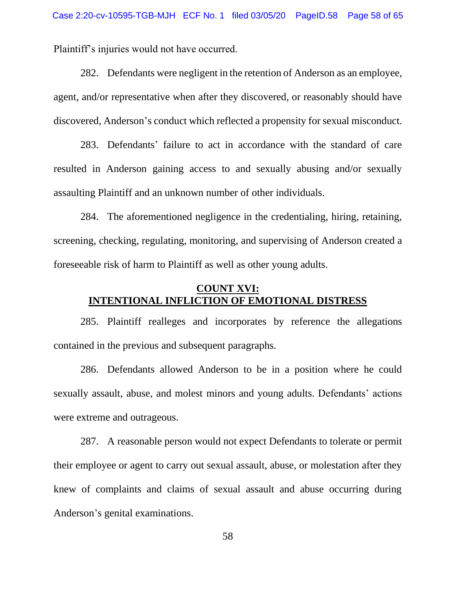Plaintiff's injuries would not have occurred.

282. Defendants were negligent in the retention of Anderson as an employee, agent, and/or representative when after they discovered, or reasonably should have discovered, Anderson's conduct which reflected a propensity for sexual misconduct.

283. Defendants' failure to act in accordance with the standard of care resulted in Anderson gaining access to and sexually abusing and/or sexually assaulting Plaintiff and an unknown number of other individuals.

284. The aforementioned negligence in the credentialing, hiring, retaining, screening, checking, regulating, monitoring, and supervising of Anderson created a foreseeable risk of harm to Plaintiff as well as other young adults.

#### **COUNT XVI: INTENTIONAL INFLICTION OF EMOTIONAL DISTRESS**

285. Plaintiff realleges and incorporates by reference the allegations contained in the previous and subsequent paragraphs.

286. Defendants allowed Anderson to be in a position where he could sexually assault, abuse, and molest minors and young adults. Defendants' actions were extreme and outrageous.

287. A reasonable person would not expect Defendants to tolerate or permit their employee or agent to carry out sexual assault, abuse, or molestation after they knew of complaints and claims of sexual assault and abuse occurring during Anderson's genital examinations.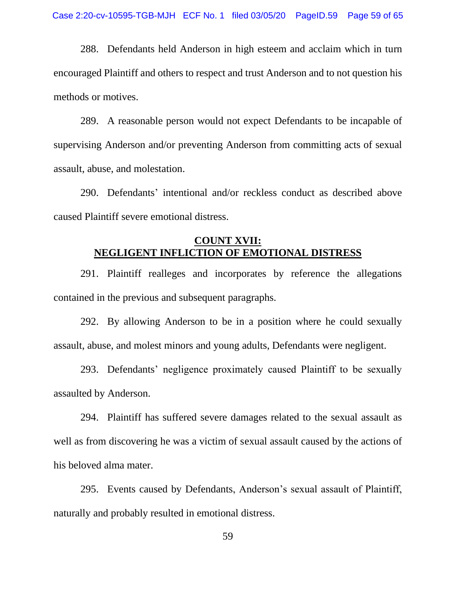288. Defendants held Anderson in high esteem and acclaim which in turn encouraged Plaintiff and others to respect and trust Anderson and to not question his methods or motives.

289. A reasonable person would not expect Defendants to be incapable of supervising Anderson and/or preventing Anderson from committing acts of sexual assault, abuse, and molestation.

290. Defendants' intentional and/or reckless conduct as described above caused Plaintiff severe emotional distress.

#### **COUNT XVII: NEGLIGENT INFLICTION OF EMOTIONAL DISTRESS**

291. Plaintiff realleges and incorporates by reference the allegations contained in the previous and subsequent paragraphs.

292. By allowing Anderson to be in a position where he could sexually assault, abuse, and molest minors and young adults, Defendants were negligent.

293. Defendants' negligence proximately caused Plaintiff to be sexually assaulted by Anderson.

294. Plaintiff has suffered severe damages related to the sexual assault as well as from discovering he was a victim of sexual assault caused by the actions of his beloved alma mater.

295. Events caused by Defendants, Anderson's sexual assault of Plaintiff, naturally and probably resulted in emotional distress.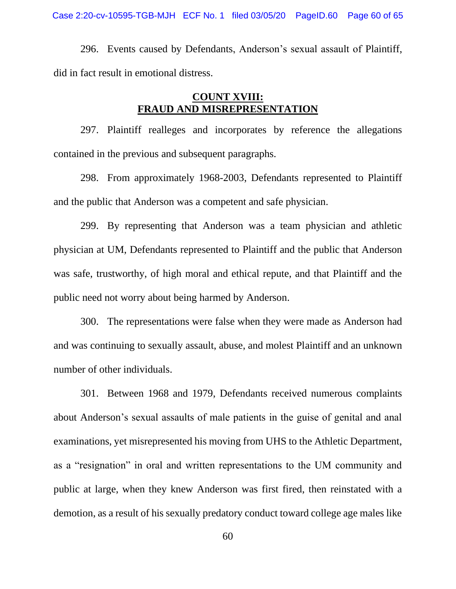Case 2:20-cv-10595-TGB-MJH ECF No. 1 filed 03/05/20 PageID.60 Page 60 of 65

296. Events caused by Defendants, Anderson's sexual assault of Plaintiff, did in fact result in emotional distress.

#### **COUNT XVIII: FRAUD AND MISREPRESENTATION**

297. Plaintiff realleges and incorporates by reference the allegations contained in the previous and subsequent paragraphs.

298. From approximately 1968-2003, Defendants represented to Plaintiff and the public that Anderson was a competent and safe physician.

299. By representing that Anderson was a team physician and athletic physician at UM, Defendants represented to Plaintiff and the public that Anderson was safe, trustworthy, of high moral and ethical repute, and that Plaintiff and the public need not worry about being harmed by Anderson.

300. The representations were false when they were made as Anderson had and was continuing to sexually assault, abuse, and molest Plaintiff and an unknown number of other individuals.

301. Between 1968 and 1979, Defendants received numerous complaints about Anderson's sexual assaults of male patients in the guise of genital and anal examinations, yet misrepresented his moving from UHS to the Athletic Department, as a "resignation" in oral and written representations to the UM community and public at large, when they knew Anderson was first fired, then reinstated with a demotion, as a result of his sexually predatory conduct toward college age males like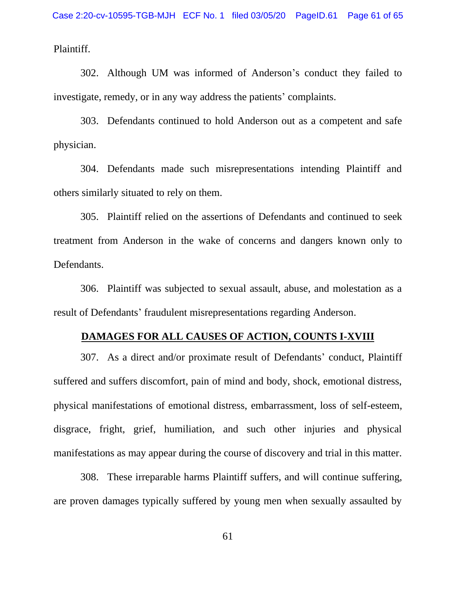Plaintiff.

302. Although UM was informed of Anderson's conduct they failed to investigate, remedy, or in any way address the patients' complaints.

303. Defendants continued to hold Anderson out as a competent and safe physician.

304. Defendants made such misrepresentations intending Plaintiff and others similarly situated to rely on them.

305. Plaintiff relied on the assertions of Defendants and continued to seek treatment from Anderson in the wake of concerns and dangers known only to Defendants.

306. Plaintiff was subjected to sexual assault, abuse, and molestation as a result of Defendants' fraudulent misrepresentations regarding Anderson.

#### **DAMAGES FOR ALL CAUSES OF ACTION, COUNTS I-XVIII**

307. As a direct and/or proximate result of Defendants' conduct, Plaintiff suffered and suffers discomfort, pain of mind and body, shock, emotional distress, physical manifestations of emotional distress, embarrassment, loss of self-esteem, disgrace, fright, grief, humiliation, and such other injuries and physical manifestations as may appear during the course of discovery and trial in this matter.

308. These irreparable harms Plaintiff suffers, and will continue suffering, are proven damages typically suffered by young men when sexually assaulted by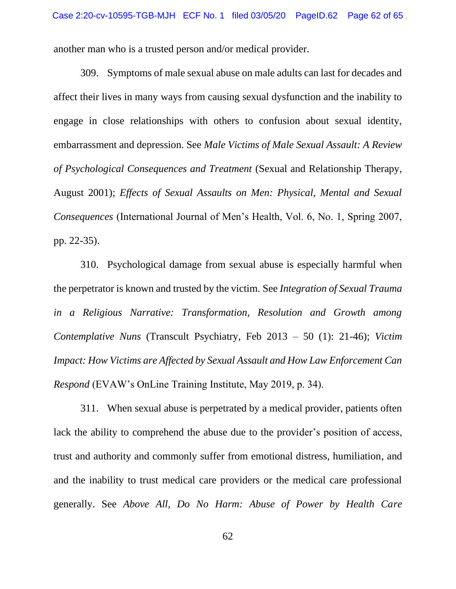another man who is a trusted person and/or medical provider.

309. Symptoms of male sexual abuse on male adults can last for decades and affect their lives in many ways from causing sexual dysfunction and the inability to engage in close relationships with others to confusion about sexual identity, embarrassment and depression. See *Male Victims of Male Sexual Assault: A Review of Psychological Consequences and Treatment* (Sexual and Relationship Therapy, August 2001); *Effects of Sexual Assaults on Men: Physical, Mental and Sexual Consequences* (International Journal of Men's Health, Vol. 6, No. 1, Spring 2007, pp. 22-35).

310. Psychological damage from sexual abuse is especially harmful when the perpetrator is known and trusted by the victim. See *Integration of Sexual Trauma in a Religious Narrative: Transformation, Resolution and Growth among Contemplative Nuns* (Transcult Psychiatry, Feb 2013 – 50 (1): 21-46); *Victim Impact: How Victims are Affected by Sexual Assault and How Law Enforcement Can Respond* (EVAW's OnLine Training Institute, May 2019, p. 34).

311. When sexual abuse is perpetrated by a medical provider, patients often lack the ability to comprehend the abuse due to the provider's position of access, trust and authority and commonly suffer from emotional distress, humiliation, and and the inability to trust medical care providers or the medical care professional generally. See *Above All, Do No Harm: Abuse of Power by Health Care*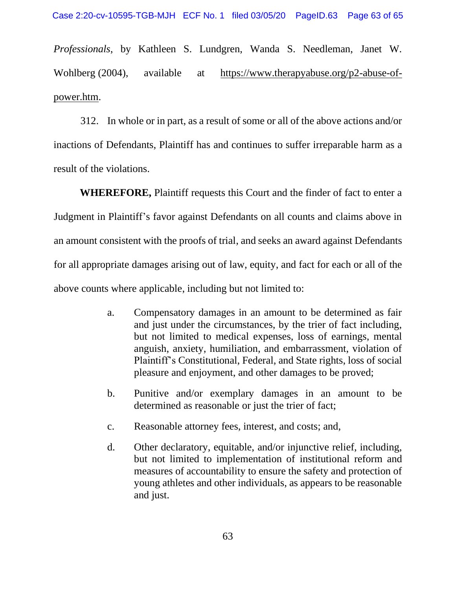*Professionals*, by Kathleen S. Lundgren, Wanda S. Needleman, Janet W. Wohlberg (2004), available at [https://www.therapyabuse.org/p2-abuse-of](https://www.therapyabuse.org/p2-abuse-of-power.htm)[power.htm.](https://www.therapyabuse.org/p2-abuse-of-power.htm)

312. In whole or in part, as a result of some or all of the above actions and/or inactions of Defendants, Plaintiff has and continues to suffer irreparable harm as a result of the violations.

**WHEREFORE,** Plaintiff requests this Court and the finder of fact to enter a Judgment in Plaintiff's favor against Defendants on all counts and claims above in an amount consistent with the proofs of trial, and seeks an award against Defendants for all appropriate damages arising out of law, equity, and fact for each or all of the above counts where applicable, including but not limited to:

- a. Compensatory damages in an amount to be determined as fair and just under the circumstances, by the trier of fact including, but not limited to medical expenses, loss of earnings, mental anguish, anxiety, humiliation, and embarrassment, violation of Plaintiff's Constitutional, Federal, and State rights, loss of social pleasure and enjoyment, and other damages to be proved;
- b. Punitive and/or exemplary damages in an amount to be determined as reasonable or just the trier of fact;
- c. Reasonable attorney fees, interest, and costs; and,
- d. Other declaratory, equitable, and/or injunctive relief, including, but not limited to implementation of institutional reform and measures of accountability to ensure the safety and protection of young athletes and other individuals, as appears to be reasonable and just.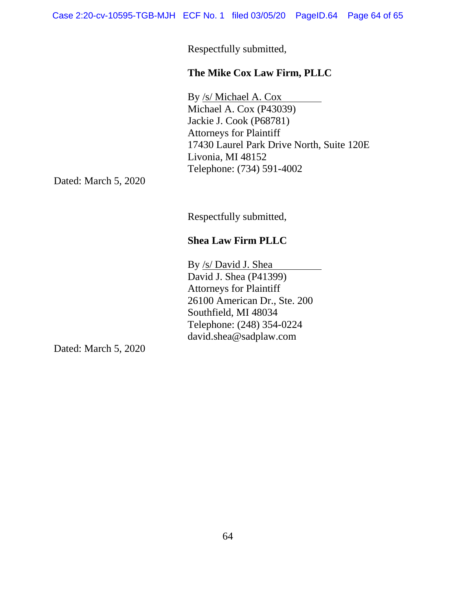Respectfully submitted,

#### **The Mike Cox Law Firm, PLLC**

By /s/ Michael A. Cox Michael A. Cox (P43039) Jackie J. Cook (P68781) Attorneys for Plaintiff 17430 Laurel Park Drive North, Suite 120E Livonia, MI 48152 Telephone: (734) 591-4002

Dated: March 5, 2020

Respectfully submitted,

## **Shea Law Firm PLLC**

By /s/ David J. Shea David J. Shea (P41399) Attorneys for Plaintiff 26100 American Dr., Ste. 200 Southfield, MI 48034 Telephone: (248) 354-0224 david.shea@sadplaw.com

Dated: March 5, 2020